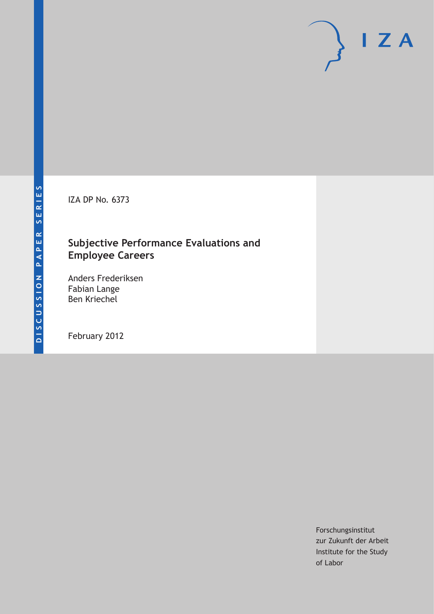IZA DP No. 6373

# **Subjective Performance Evaluations and Employee Careers**

Anders Frederiksen Fabian Lange Ben Kriechel

February 2012

Forschungsinstitut zur Zukunft der Arbeit Institute for the Study of Labor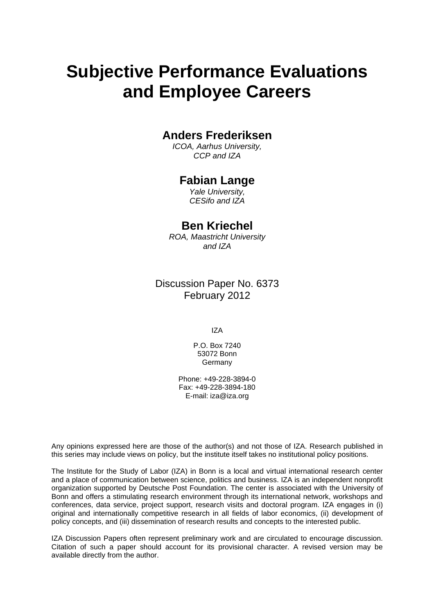# **Subjective Performance Evaluations and Employee Careers**

# **Anders Frederiksen**

*ICOA, Aarhus University, CCP and IZA* 

# **Fabian Lange**

*Yale University, CESifo and IZA* 

# **Ben Kriechel**

*ROA, Maastricht University and IZA* 

Discussion Paper No. 6373 February 2012

IZA

P.O. Box 7240 53072 Bonn Germany

Phone: +49-228-3894-0 Fax: +49-228-3894-180 E-mail: [iza@iza.org](mailto:iza@iza.org)

Any opinions expressed here are those of the author(s) and not those of IZA. Research published in this series may include views on policy, but the institute itself takes no institutional policy positions.

The Institute for the Study of Labor (IZA) in Bonn is a local and virtual international research center and a place of communication between science, politics and business. IZA is an independent nonprofit organization supported by Deutsche Post Foundation. The center is associated with the University of Bonn and offers a stimulating research environment through its international network, workshops and conferences, data service, project support, research visits and doctoral program. IZA engages in (i) original and internationally competitive research in all fields of labor economics, (ii) development of policy concepts, and (iii) dissemination of research results and concepts to the interested public.

IZA Discussion Papers often represent preliminary work and are circulated to encourage discussion. Citation of such a paper should account for its provisional character. A revised version may be available directly from the author.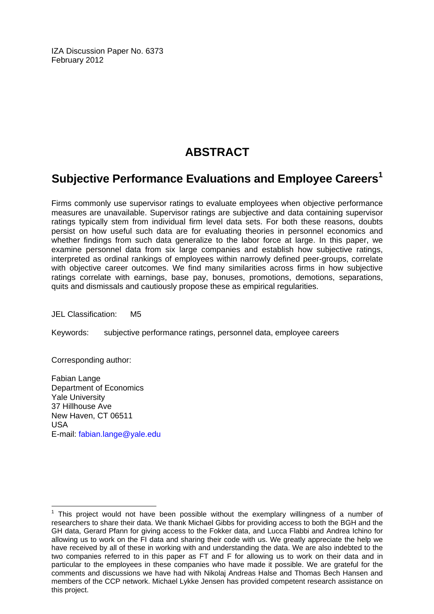IZA Discussion Paper No. 6373 February 2012

# **ABSTRACT**

# **Subjective Performance Evaluations and Employee Careers[1](#page-2-0)**

Firms commonly use supervisor ratings to evaluate employees when objective performance measures are unavailable. Supervisor ratings are subjective and data containing supervisor ratings typically stem from individual firm level data sets. For both these reasons, doubts persist on how useful such data are for evaluating theories in personnel economics and whether findings from such data generalize to the labor force at large. In this paper, we examine personnel data from six large companies and establish how subjective ratings, interpreted as ordinal rankings of employees within narrowly defined peer-groups, correlate with objective career outcomes. We find many similarities across firms in how subjective ratings correlate with earnings, base pay, bonuses, promotions, demotions, separations, quits and dismissals and cautiously propose these as empirical regularities.

JEL Classification: M5

Keywords: subjective performance ratings, personnel data, employee careers

Corresponding author:

 $\overline{a}$ 

Fabian Lange Department of Economics Yale University 37 Hillhouse Ave New Haven, CT 06511 USA E-mail: [fabian.lange@yale.edu](mailto:fabian.lange@yale.edu) 

<span id="page-2-0"></span><sup>1</sup> This project would not have been possible without the exemplary willingness of a number of researchers to share their data. We thank Michael Gibbs for providing access to both the BGH and the GH data, Gerard Pfann for giving access to the Fokker data, and Lucca Flabbi and Andrea Ichino for allowing us to work on the FI data and sharing their code with us. We greatly appreciate the help we have received by all of these in working with and understanding the data. We are also indebted to the two companies referred to in this paper as FT and F for allowing us to work on their data and in particular to the employees in these companies who have made it possible. We are grateful for the comments and discussions we have had with Nikolaj Andreas Halse and Thomas Bech Hansen and members of the CCP network. Michael Lykke Jensen has provided competent research assistance on this project.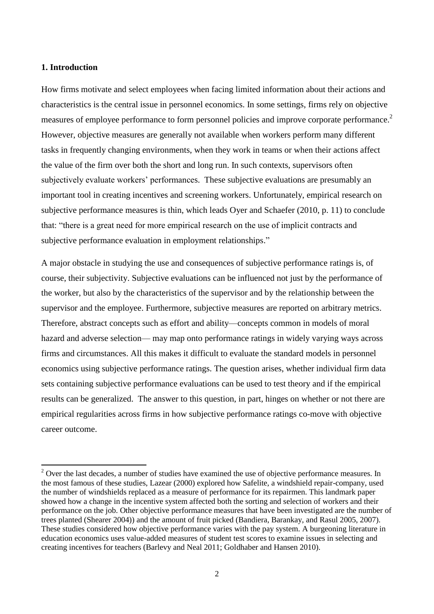### **1. Introduction**

**.** 

How firms motivate and select employees when facing limited information about their actions and characteristics is the central issue in personnel economics. In some settings, firms rely on objective measures of employee performance to form personnel policies and improve corporate performance.<sup>2</sup> However, objective measures are generally not available when workers perform many different tasks in frequently changing environments, when they work in teams or when their actions affect the value of the firm over both the short and long run. In such contexts, supervisors often subjectively evaluate workers' performances. These subjective evaluations are presumably an important tool in creating incentives and screening workers. Unfortunately, empirical research on subjective performance measures is thin, which leads Oyer and Schaefer (2010, p. 11) to conclude that: "there is a great need for more empirical research on the use of implicit contracts and subjective performance evaluation in employment relationships."

A major obstacle in studying the use and consequences of subjective performance ratings is, of course, their subjectivity. Subjective evaluations can be influenced not just by the performance of the worker, but also by the characteristics of the supervisor and by the relationship between the supervisor and the employee. Furthermore, subjective measures are reported on arbitrary metrics. Therefore, abstract concepts such as effort and ability—concepts common in models of moral hazard and adverse selection— may map onto performance ratings in widely varying ways across firms and circumstances. All this makes it difficult to evaluate the standard models in personnel economics using subjective performance ratings. The question arises, whether individual firm data sets containing subjective performance evaluations can be used to test theory and if the empirical results can be generalized. The answer to this question, in part, hinges on whether or not there are empirical regularities across firms in how subjective performance ratings co-move with objective career outcome.

 $2$  Over the last decades, a number of studies have examined the use of objective performance measures. In the most famous of these studies, Lazear (2000) explored how Safelite, a windshield repair-company, used the number of windshields replaced as a measure of performance for its repairmen. This landmark paper showed how a change in the incentive system affected both the sorting and selection of workers and their performance on the job. Other objective performance measures that have been investigated are the number of trees planted (Shearer 2004)) and the amount of fruit picked (Bandiera, Barankay, and Rasul 2005, 2007). These studies considered how objective performance varies with the pay system. A burgeoning literature in education economics uses value-added measures of student test scores to examine issues in selecting and creating incentives for teachers (Barlevy and Neal 2011; Goldhaber and Hansen 2010).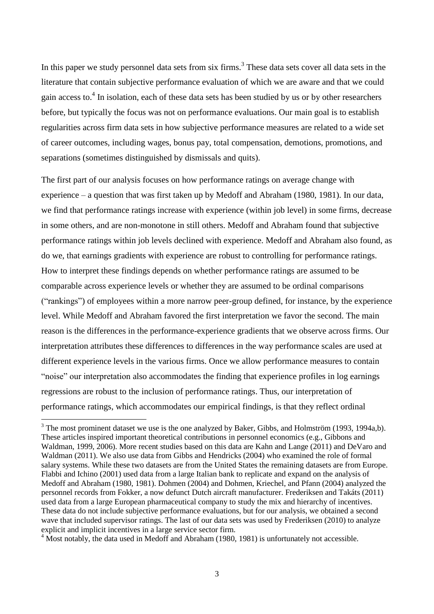In this paper we study personnel data sets from six firms.<sup>3</sup> These data sets cover all data sets in the literature that contain subjective performance evaluation of which we are aware and that we could gain access to. $4$  In isolation, each of these data sets has been studied by us or by other researchers before, but typically the focus was not on performance evaluations. Our main goal is to establish regularities across firm data sets in how subjective performance measures are related to a wide set of career outcomes, including wages, bonus pay, total compensation, demotions, promotions, and separations (sometimes distinguished by dismissals and quits).

The first part of our analysis focuses on how performance ratings on average change with experience – a question that was first taken up by Medoff and Abraham (1980, 1981). In our data, we find that performance ratings increase with experience (within job level) in some firms, decrease in some others, and are non-monotone in still others. Medoff and Abraham found that subjective performance ratings within job levels declined with experience. Medoff and Abraham also found, as do we, that earnings gradients with experience are robust to controlling for performance ratings. How to interpret these findings depends on whether performance ratings are assumed to be comparable across experience levels or whether they are assumed to be ordinal comparisons (―rankings‖) of employees within a more narrow peer-group defined, for instance, by the experience level. While Medoff and Abraham favored the first interpretation we favor the second. The main reason is the differences in the performance-experience gradients that we observe across firms. Our interpretation attributes these differences to differences in the way performance scales are used at different experience levels in the various firms. Once we allow performance measures to contain ―noise‖ our interpretation also accommodates the finding that experience profiles in log earnings regressions are robust to the inclusion of performance ratings. Thus, our interpretation of performance ratings, which accommodates our empirical findings, is that they reflect ordinal

<sup>4</sup> Most notably, the data used in Medoff and Abraham (1980, 1981) is unfortunately not accessible.

1

 $3$  The most prominent dataset we use is the one analyzed by Baker, Gibbs, and Holmström (1993, 1994a,b). These articles inspired important theoretical contributions in personnel economics (e.g., Gibbons and Waldman, 1999, 2006). More recent studies based on this data are Kahn and Lange (2011) and DeVaro and Waldman (2011). We also use data from Gibbs and Hendricks (2004) who examined the role of formal salary systems. While these two datasets are from the United States the remaining datasets are from Europe. Flabbi and Ichino (2001) used data from a large Italian bank to replicate and expand on the analysis of Medoff and Abraham (1980, 1981). Dohmen (2004) and Dohmen, Kriechel, and Pfann (2004) analyzed the personnel records from Fokker, a now defunct Dutch aircraft manufacturer. Frederiksen and Takáts (2011) used data from a large European pharmaceutical company to study the mix and hierarchy of incentives. These data do not include subjective performance evaluations, but for our analysis, we obtained a second wave that included supervisor ratings. The last of our data sets was used by Frederiksen (2010) to analyze explicit and implicit incentives in a large service sector firm.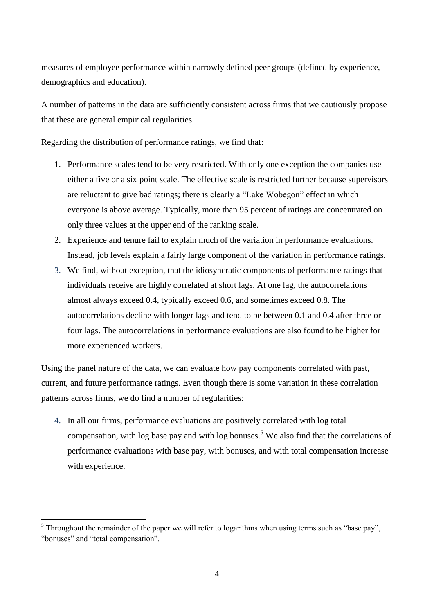measures of employee performance within narrowly defined peer groups (defined by experience, demographics and education).

A number of patterns in the data are sufficiently consistent across firms that we cautiously propose that these are general empirical regularities.

Regarding the distribution of performance ratings, we find that:

- 1. Performance scales tend to be very restricted. With only one exception the companies use either a five or a six point scale. The effective scale is restricted further because supervisors are reluctant to give bad ratings; there is clearly a "Lake Wobegon" effect in which everyone is above average. Typically, more than 95 percent of ratings are concentrated on only three values at the upper end of the ranking scale.
- 2. Experience and tenure fail to explain much of the variation in performance evaluations. Instead, job levels explain a fairly large component of the variation in performance ratings.
- 3. We find, without exception, that the idiosyncratic components of performance ratings that individuals receive are highly correlated at short lags. At one lag, the autocorrelations almost always exceed 0.4, typically exceed 0.6, and sometimes exceed 0.8. The autocorrelations decline with longer lags and tend to be between 0.1 and 0.4 after three or four lags. The autocorrelations in performance evaluations are also found to be higher for more experienced workers.

Using the panel nature of the data, we can evaluate how pay components correlated with past, current, and future performance ratings. Even though there is some variation in these correlation patterns across firms, we do find a number of regularities:

4. In all our firms, performance evaluations are positively correlated with log total compensation, with log base pay and with log bonuses.<sup>5</sup> We also find that the correlations of performance evaluations with base pay, with bonuses, and with total compensation increase with experience.

1

 $<sup>5</sup>$  Throughout the remainder of the paper we will refer to logarithms when using terms such as "base pay",</sup> "bonuses" and "total compensation".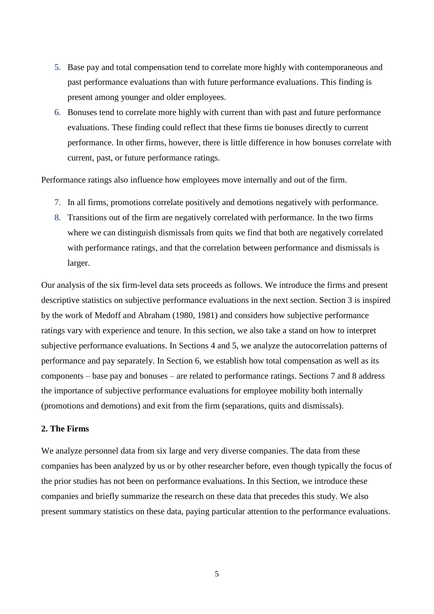- 5. Base pay and total compensation tend to correlate more highly with contemporaneous and past performance evaluations than with future performance evaluations. This finding is present among younger and older employees.
- 6. Bonuses tend to correlate more highly with current than with past and future performance evaluations. These finding could reflect that these firms tie bonuses directly to current performance. In other firms, however, there is little difference in how bonuses correlate with current, past, or future performance ratings.

Performance ratings also influence how employees move internally and out of the firm.

- 7. In all firms, promotions correlate positively and demotions negatively with performance.
- 8. Transitions out of the firm are negatively correlated with performance. In the two firms where we can distinguish dismissals from quits we find that both are negatively correlated with performance ratings, and that the correlation between performance and dismissals is larger.

Our analysis of the six firm-level data sets proceeds as follows. We introduce the firms and present descriptive statistics on subjective performance evaluations in the next section. Section 3 is inspired by the work of Medoff and Abraham (1980, 1981) and considers how subjective performance ratings vary with experience and tenure. In this section, we also take a stand on how to interpret subjective performance evaluations. In Sections 4 and 5, we analyze the autocorrelation patterns of performance and pay separately. In Section 6, we establish how total compensation as well as its components – base pay and bonuses – are related to performance ratings. Sections 7 and 8 address the importance of subjective performance evaluations for employee mobility both internally (promotions and demotions) and exit from the firm (separations, quits and dismissals).

# **2. The Firms**

We analyze personnel data from six large and very diverse companies. The data from these companies has been analyzed by us or by other researcher before, even though typically the focus of the prior studies has not been on performance evaluations. In this Section, we introduce these companies and briefly summarize the research on these data that precedes this study. We also present summary statistics on these data, paying particular attention to the performance evaluations.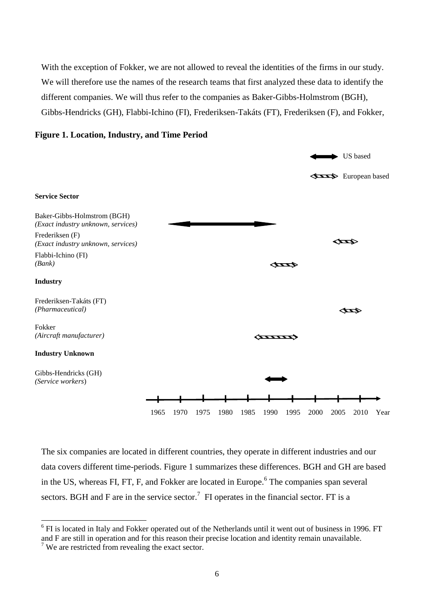With the exception of Fokker, we are not allowed to reveal the identities of the firms in our study. We will therefore use the names of the research teams that first analyzed these data to identify the different companies. We will thus refer to the companies as Baker-Gibbs-Holmstrom (BGH), Gibbs-Hendricks (GH), Flabbi-Ichino (FI), Frederiksen-Takáts (FT), Frederiksen (F), and Fokker,



# **Figure 1. Location, Industry, and Time Period**

The six companies are located in different countries, they operate in different industries and our data covers different time-periods. Figure 1 summarizes these differences. BGH and GH are based in the US, whereas FI, FT, F, and Fokker are located in Europe.<sup>6</sup> The companies span several sectors. BGH and F are in the service sector.<sup>7</sup> FI operates in the financial sector. FT is a

1

<sup>&</sup>lt;sup>6</sup> FI is located in Italy and Fokker operated out of the Netherlands until it went out of business in 1996. FT and F are still in operation and for this reason their precise location and identity remain unavailable.

 $7$  We are restricted from revealing the exact sector.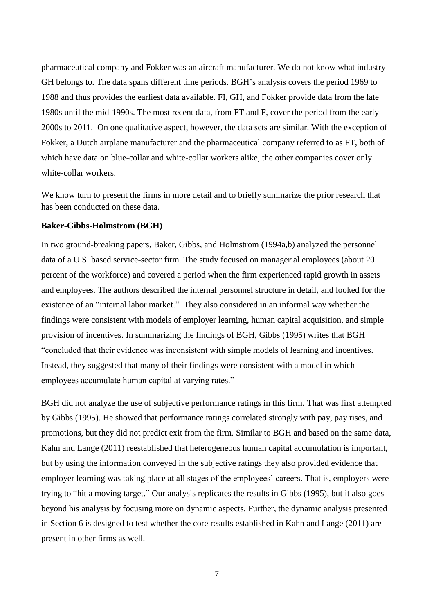pharmaceutical company and Fokker was an aircraft manufacturer. We do not know what industry GH belongs to. The data spans different time periods. BGH's analysis covers the period 1969 to 1988 and thus provides the earliest data available. FI, GH, and Fokker provide data from the late 1980s until the mid-1990s. The most recent data, from FT and F, cover the period from the early 2000s to 2011. On one qualitative aspect, however, the data sets are similar. With the exception of Fokker, a Dutch airplane manufacturer and the pharmaceutical company referred to as FT, both of which have data on blue-collar and white-collar workers alike, the other companies cover only white-collar workers.

We know turn to present the firms in more detail and to briefly summarize the prior research that has been conducted on these data.

#### **Baker-Gibbs-Holmstrom (BGH)**

In two ground-breaking papers, Baker, Gibbs, and Holmstrom (1994a,b) analyzed the personnel data of a U.S. based service-sector firm. The study focused on managerial employees (about 20 percent of the workforce) and covered a period when the firm experienced rapid growth in assets and employees. The authors described the internal personnel structure in detail, and looked for the existence of an "internal labor market." They also considered in an informal way whether the findings were consistent with models of employer learning, human capital acquisition, and simple provision of incentives. In summarizing the findings of BGH, Gibbs (1995) writes that BGH ―concluded that their evidence was inconsistent with simple models of learning and incentives. Instead, they suggested that many of their findings were consistent with a model in which employees accumulate human capital at varying rates."

BGH did not analyze the use of subjective performance ratings in this firm. That was first attempted by Gibbs (1995). He showed that performance ratings correlated strongly with pay, pay rises, and promotions, but they did not predict exit from the firm. Similar to BGH and based on the same data, Kahn and Lange (2011) reestablished that heterogeneous human capital accumulation is important, but by using the information conveyed in the subjective ratings they also provided evidence that employer learning was taking place at all stages of the employees' careers. That is, employers were trying to "hit a moving target." Our analysis replicates the results in Gibbs (1995), but it also goes beyond his analysis by focusing more on dynamic aspects. Further, the dynamic analysis presented in Section 6 is designed to test whether the core results established in Kahn and Lange (2011) are present in other firms as well.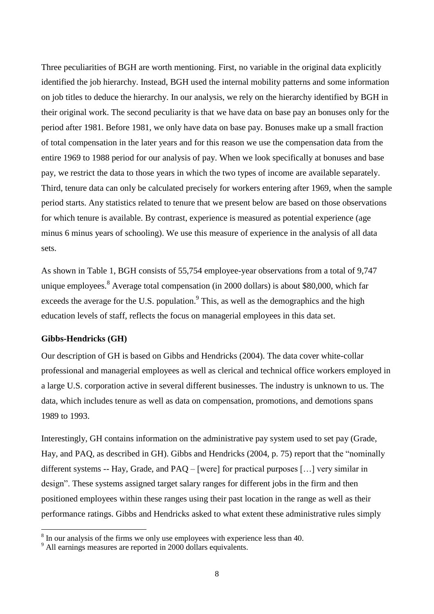Three peculiarities of BGH are worth mentioning. First, no variable in the original data explicitly identified the job hierarchy. Instead, BGH used the internal mobility patterns and some information on job titles to deduce the hierarchy. In our analysis, we rely on the hierarchy identified by BGH in their original work. The second peculiarity is that we have data on base pay an bonuses only for the period after 1981. Before 1981, we only have data on base pay. Bonuses make up a small fraction of total compensation in the later years and for this reason we use the compensation data from the entire 1969 to 1988 period for our analysis of pay. When we look specifically at bonuses and base pay, we restrict the data to those years in which the two types of income are available separately. Third, tenure data can only be calculated precisely for workers entering after 1969, when the sample period starts. Any statistics related to tenure that we present below are based on those observations for which tenure is available. By contrast, experience is measured as potential experience (age minus 6 minus years of schooling). We use this measure of experience in the analysis of all data sets.

As shown in Table 1, BGH consists of 55,754 employee-year observations from a total of 9,747 unique employees. $8$  Average total compensation (in 2000 dollars) is about \$80,000, which far exceeds the average for the U.S. population. $9$  This, as well as the demographics and the high education levels of staff, reflects the focus on managerial employees in this data set.

#### **Gibbs-Hendricks (GH)**

**.** 

Our description of GH is based on Gibbs and Hendricks (2004). The data cover white-collar professional and managerial employees as well as clerical and technical office workers employed in a large U.S. corporation active in several different businesses. The industry is unknown to us. The data, which includes tenure as well as data on compensation, promotions, and demotions spans 1989 to 1993.

Interestingly, GH contains information on the administrative pay system used to set pay (Grade, Hay, and PAQ, as described in GH). Gibbs and Hendricks (2004, p. 75) report that the "nominally different systems -- Hay, Grade, and PAQ – [were] for practical purposes […] very similar in design". These systems assigned target salary ranges for different jobs in the firm and then positioned employees within these ranges using their past location in the range as well as their performance ratings. Gibbs and Hendricks asked to what extent these administrative rules simply

<sup>&</sup>lt;sup>8</sup> In our analysis of the firms we only use employees with experience less than 40.

<sup>&</sup>lt;sup>9</sup> All earnings measures are reported in 2000 dollars equivalents.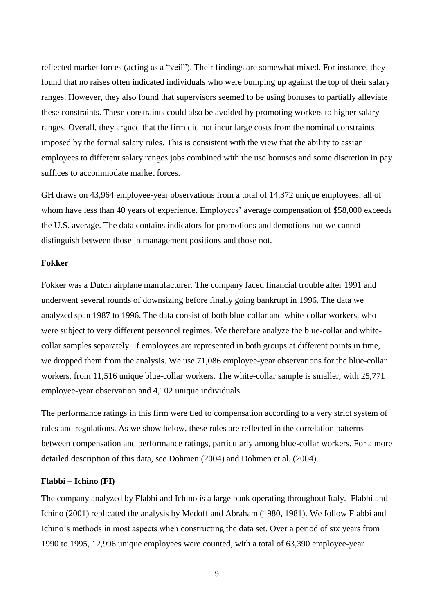reflected market forces (acting as a "veil"). Their findings are somewhat mixed. For instance, they found that no raises often indicated individuals who were bumping up against the top of their salary ranges. However, they also found that supervisors seemed to be using bonuses to partially alleviate these constraints. These constraints could also be avoided by promoting workers to higher salary ranges. Overall, they argued that the firm did not incur large costs from the nominal constraints imposed by the formal salary rules. This is consistent with the view that the ability to assign employees to different salary ranges jobs combined with the use bonuses and some discretion in pay suffices to accommodate market forces.

GH draws on 43,964 employee-year observations from a total of 14,372 unique employees, all of whom have less than 40 years of experience. Employees' average compensation of \$58,000 exceeds the U.S. average. The data contains indicators for promotions and demotions but we cannot distinguish between those in management positions and those not.

## **Fokker**

Fokker was a Dutch airplane manufacturer. The company faced financial trouble after 1991 and underwent several rounds of downsizing before finally going bankrupt in 1996. The data we analyzed span 1987 to 1996. The data consist of both blue-collar and white-collar workers, who were subject to very different personnel regimes. We therefore analyze the blue-collar and whitecollar samples separately. If employees are represented in both groups at different points in time, we dropped them from the analysis. We use 71,086 employee-year observations for the blue-collar workers, from 11,516 unique blue-collar workers. The white-collar sample is smaller, with 25,771 employee-year observation and 4,102 unique individuals.

The performance ratings in this firm were tied to compensation according to a very strict system of rules and regulations. As we show below, these rules are reflected in the correlation patterns between compensation and performance ratings, particularly among blue-collar workers. For a more detailed description of this data, see Dohmen (2004) and Dohmen et al. (2004).

#### **Flabbi – Ichino (FI)**

The company analyzed by Flabbi and Ichino is a large bank operating throughout Italy. Flabbi and Ichino (2001) replicated the analysis by Medoff and Abraham (1980, 1981). We follow Flabbi and Ichino's methods in most aspects when constructing the data set. Over a period of six years from 1990 to 1995, 12,996 unique employees were counted, with a total of 63,390 employee-year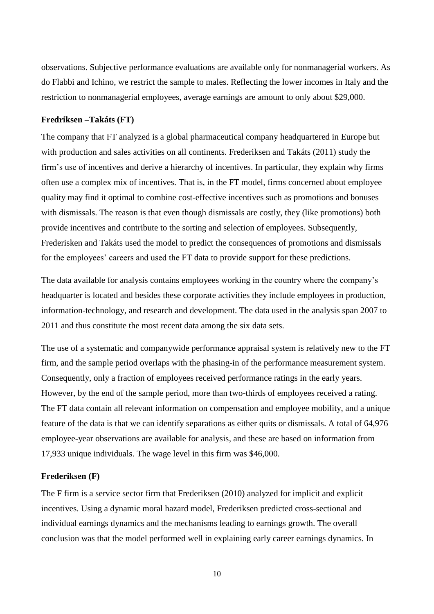observations. Subjective performance evaluations are available only for nonmanagerial workers. As do Flabbi and Ichino, we restrict the sample to males. Reflecting the lower incomes in Italy and the restriction to nonmanagerial employees, average earnings are amount to only about \$29,000.

## **Fredriksen –Takáts (FT)**

The company that FT analyzed is a global pharmaceutical company headquartered in Europe but with production and sales activities on all continents. Frederiksen and Takáts (2011) study the firm's use of incentives and derive a hierarchy of incentives. In particular, they explain why firms often use a complex mix of incentives. That is, in the FT model, firms concerned about employee quality may find it optimal to combine cost-effective incentives such as promotions and bonuses with dismissals. The reason is that even though dismissals are costly, they (like promotions) both provide incentives and contribute to the sorting and selection of employees. Subsequently, Frederisken and Takáts used the model to predict the consequences of promotions and dismissals for the employees' careers and used the FT data to provide support for these predictions.

The data available for analysis contains employees working in the country where the company's headquarter is located and besides these corporate activities they include employees in production, information-technology, and research and development. The data used in the analysis span 2007 to 2011 and thus constitute the most recent data among the six data sets.

The use of a systematic and companywide performance appraisal system is relatively new to the FT firm, and the sample period overlaps with the phasing-in of the performance measurement system. Consequently, only a fraction of employees received performance ratings in the early years. However, by the end of the sample period, more than two-thirds of employees received a rating. The FT data contain all relevant information on compensation and employee mobility, and a unique feature of the data is that we can identify separations as either quits or dismissals. A total of 64,976 employee-year observations are available for analysis, and these are based on information from 17,933 unique individuals. The wage level in this firm was \$46,000.

### **Frederiksen (F)**

The F firm is a service sector firm that Frederiksen (2010) analyzed for implicit and explicit incentives. Using a dynamic moral hazard model, Frederiksen predicted cross-sectional and individual earnings dynamics and the mechanisms leading to earnings growth. The overall conclusion was that the model performed well in explaining early career earnings dynamics. In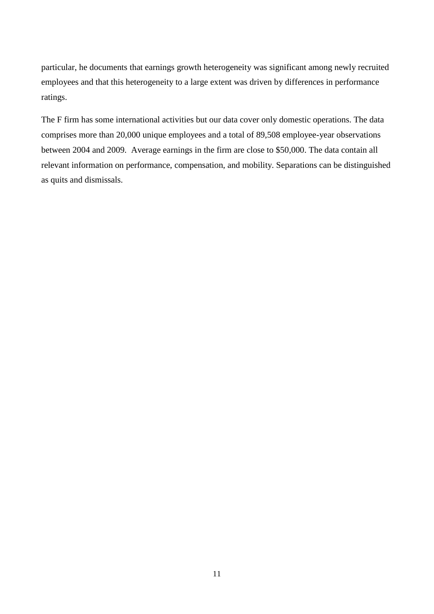particular, he documents that earnings growth heterogeneity was significant among newly recruited employees and that this heterogeneity to a large extent was driven by differences in performance ratings.

The F firm has some international activities but our data cover only domestic operations. The data comprises more than 20,000 unique employees and a total of 89,508 employee-year observations between 2004 and 2009. Average earnings in the firm are close to \$50,000. The data contain all relevant information on performance, compensation, and mobility. Separations can be distinguished as quits and dismissals.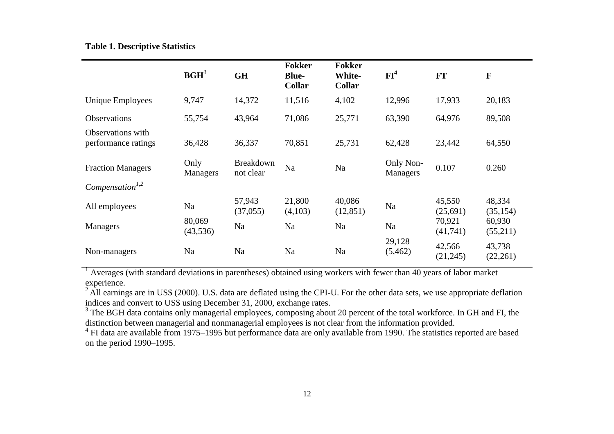|  |  |  |  | <b>Table 1. Descriptive Statistics</b> |  |
|--|--|--|--|----------------------------------------|--|
|--|--|--|--|----------------------------------------|--|

|                                          | $\mathbf{B}\mathbf{G}\mathbf{H}^3$ | <b>GH</b>                     | <b>Fokker</b><br><b>Blue-</b><br><b>Collar</b> | <b>Fokker</b><br>White-<br><b>Collar</b> | FI <sup>4</sup>              | <b>FT</b>           | $\mathbf F$         |
|------------------------------------------|------------------------------------|-------------------------------|------------------------------------------------|------------------------------------------|------------------------------|---------------------|---------------------|
| <b>Unique Employees</b>                  | 9,747                              | 14,372                        | 11,516                                         | 4,102                                    | 12,996                       | 17,933              | 20,183              |
| <b>Observations</b>                      | 55,754                             | 43,964                        | 71,086                                         | 25,771                                   | 63,390                       | 64,976              | 89,508              |
| Observations with<br>performance ratings | 36,428                             | 36,337                        | 70,851                                         | 25,731                                   | 62,428                       | 23,442              | 64,550              |
| <b>Fraction Managers</b>                 | Only<br><b>Managers</b>            | <b>Breakdown</b><br>not clear | Na                                             | Na                                       | Only Non-<br><b>Managers</b> | 0.107               | 0.260               |
| Compensation <sup>1,2</sup>              |                                    |                               |                                                |                                          |                              |                     |                     |
| All employees                            | Na                                 | 57,943<br>(37,055)            | 21,800<br>(4,103)                              | 40,086<br>(12, 851)                      | Na                           | 45,550<br>(25,691)  | 48,334<br>(35, 154) |
| Managers                                 | 80,069<br>(43, 536)                | Na                            | Na                                             | Na                                       | Na                           | 70,921<br>(41,741)  | 60,930<br>(55,211)  |
| Non-managers                             | Na                                 | Na                            | Na                                             | Na                                       | 29,128<br>(5,462)            | 42,566<br>(21, 245) | 43,738<br>(22,261)  |

<sup>1</sup> Averages (with standard deviations in parentheses) obtained using workers with fewer than 40 years of labor market experience.

 $^{2}$  All earnings are in US\$ (2000). U.S. data are deflated using the CPI-U. For the other data sets, we use appropriate deflation indices and convert to US\$ using December 31, 2000, exchange rates.

<sup>3</sup> The BGH data contains only managerial employees, composing about 20 percent of the total workforce. In GH and FI, the distinction between managerial and nonmanagerial employees is not clear from the information provided.

<sup>4</sup> FI data are available from 1975–1995 but performance data are only available from 1990. The statistics reported are based on the period 1990–1995.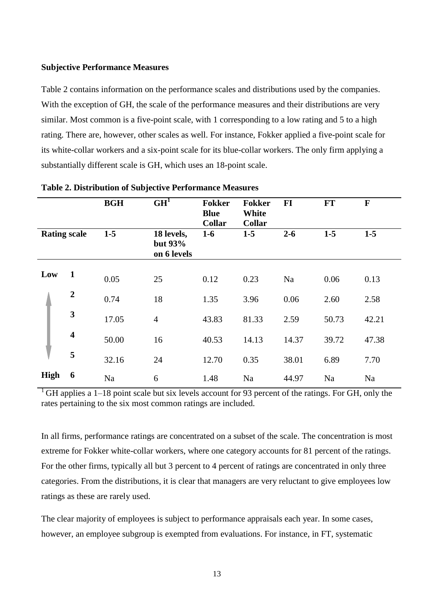#### **Subjective Performance Measures**

Table 2 contains information on the performance scales and distributions used by the companies. With the exception of GH, the scale of the performance measures and their distributions are very similar. Most common is a five-point scale, with 1 corresponding to a low rating and 5 to a high rating. There are, however, other scales as well. For instance, Fokker applied a five-point scale for its white-collar workers and a six-point scale for its blue-collar workers. The only firm applying a substantially different scale is GH, which uses an 18-point scale.

|                     |                         | <b>BGH</b> | GH <sup>1</sup>                      | <b>Fokker</b><br><b>Blue</b><br><b>Collar</b> | <b>Fokker</b><br><b>White</b><br><b>Collar</b> | $FI$    | <b>FT</b> | $\mathbf F$ |
|---------------------|-------------------------|------------|--------------------------------------|-----------------------------------------------|------------------------------------------------|---------|-----------|-------------|
| <b>Rating scale</b> |                         | $1-5$      | 18 levels,<br>but 93%<br>on 6 levels | $1-6$                                         | $1-5$                                          | $2 - 6$ | $1-5$     | $1-5$       |
| Low                 | $\mathbf{1}$            | 0.05       | 25                                   | 0.12                                          | 0.23                                           | Na      | 0.06      | 0.13        |
|                     | $\boldsymbol{2}$        | 0.74       | 18                                   | 1.35                                          | 3.96                                           | 0.06    | 2.60      | 2.58        |
|                     | $\mathbf{3}$            | 17.05      | $\overline{4}$                       | 43.83                                         | 81.33                                          | 2.59    | 50.73     | 42.21       |
|                     | $\overline{\mathbf{4}}$ | 50.00      | 16                                   | 40.53                                         | 14.13                                          | 14.37   | 39.72     | 47.38       |
|                     | 5                       | 32.16      | 24                                   | 12.70                                         | 0.35                                           | 38.01   | 6.89      | 7.70        |
| <b>High</b>         | 6                       | Na         | 6                                    | 1.48                                          | Na                                             | 44.97   | Na        | Na          |

# **Table 2. Distribution of Subjective Performance Measures**

<sup>1</sup> GH applies a 1–18 point scale but six levels account for 93 percent of the ratings. For GH, only the rates pertaining to the six most common ratings are included.

In all firms, performance ratings are concentrated on a subset of the scale. The concentration is most extreme for Fokker white-collar workers, where one category accounts for 81 percent of the ratings. For the other firms, typically all but 3 percent to 4 percent of ratings are concentrated in only three categories. From the distributions, it is clear that managers are very reluctant to give employees low ratings as these are rarely used.

The clear majority of employees is subject to performance appraisals each year. In some cases, however, an employee subgroup is exempted from evaluations. For instance, in FT, systematic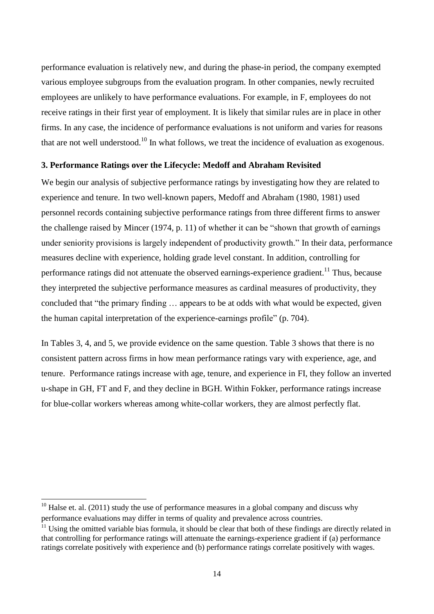performance evaluation is relatively new, and during the phase-in period, the company exempted various employee subgroups from the evaluation program. In other companies, newly recruited employees are unlikely to have performance evaluations. For example, in F, employees do not receive ratings in their first year of employment. It is likely that similar rules are in place in other firms. In any case, the incidence of performance evaluations is not uniform and varies for reasons that are not well understood.<sup>10</sup> In what follows, we treat the incidence of evaluation as exogenous.

# **3. Performance Ratings over the Lifecycle: Medoff and Abraham Revisited**

We begin our analysis of subjective performance ratings by investigating how they are related to experience and tenure. In two well-known papers, Medoff and Abraham (1980, 1981) used personnel records containing subjective performance ratings from three different firms to answer the challenge raised by Mincer  $(1974, p. 11)$  of whether it can be "shown that growth of earnings" under seniority provisions is largely independent of productivity growth." In their data, performance measures decline with experience, holding grade level constant. In addition, controlling for performance ratings did not attenuate the observed earnings-experience gradient.<sup>11</sup> Thus, because they interpreted the subjective performance measures as cardinal measures of productivity, they concluded that "the primary finding ... appears to be at odds with what would be expected, given the human capital interpretation of the experience-earnings profile" (p. 704).

In Tables 3, 4, and 5, we provide evidence on the same question. Table 3 shows that there is no consistent pattern across firms in how mean performance ratings vary with experience, age, and tenure. Performance ratings increase with age, tenure, and experience in FI, they follow an inverted u-shape in GH, FT and F, and they decline in BGH. Within Fokker, performance ratings increase for blue-collar workers whereas among white-collar workers, they are almost perfectly flat.

**.** 

 $10$  Halse et. al. (2011) study the use of performance measures in a global company and discuss why performance evaluations may differ in terms of quality and prevalence across countries.

 $11$  Using the omitted variable bias formula, it should be clear that both of these findings are directly related in that controlling for performance ratings will attenuate the earnings-experience gradient if (a) performance ratings correlate positively with experience and (b) performance ratings correlate positively with wages.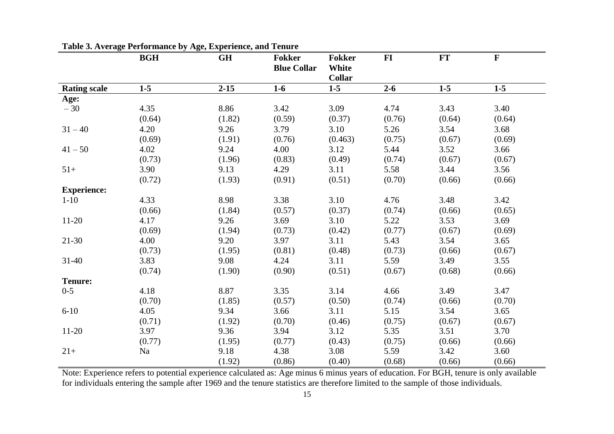|                     | <b>BGH</b> | <b>GH</b> | <b>Fokker</b><br><b>Blue Collar</b> | <b>Fokker</b><br>White<br><b>Collar</b> | $FI$    | FT     | ${\bf F}$ |
|---------------------|------------|-----------|-------------------------------------|-----------------------------------------|---------|--------|-----------|
| <b>Rating scale</b> | $1-5$      | $2 - 15$  | $1-6$                               | $1-5$                                   | $2 - 6$ | $1-5$  | $1-5$     |
| Age:                |            |           |                                     |                                         |         |        |           |
| $-30$               | 4.35       | 8.86      | 3.42                                | 3.09                                    | 4.74    | 3.43   | 3.40      |
|                     | (0.64)     | (1.82)    | (0.59)                              | (0.37)                                  | (0.76)  | (0.64) | (0.64)    |
| $31 - 40$           | 4.20       | 9.26      | 3.79                                | 3.10                                    | 5.26    | 3.54   | 3.68      |
|                     | (0.69)     | (1.91)    | (0.76)                              | (0.463)                                 | (0.75)  | (0.67) | (0.69)    |
| $41 - 50$           | 4.02       | 9.24      | 4.00                                | 3.12                                    | 5.44    | 3.52   | 3.66      |
|                     | (0.73)     | (1.96)    | (0.83)                              | (0.49)                                  | (0.74)  | (0.67) | (0.67)    |
| $51+$               | 3.90       | 9.13      | 4.29                                | 3.11                                    | 5.58    | 3.44   | 3.56      |
|                     | (0.72)     | (1.93)    | (0.91)                              | (0.51)                                  | (0.70)  | (0.66) | (0.66)    |
| <b>Experience:</b>  |            |           |                                     |                                         |         |        |           |
| $1-10$              | 4.33       | 8.98      | 3.38                                | 3.10                                    | 4.76    | 3.48   | 3.42      |
|                     | (0.66)     | (1.84)    | (0.57)                              | (0.37)                                  | (0.74)  | (0.66) | (0.65)    |
| $11-20$             | 4.17       | 9.26      | 3.69                                | 3.10                                    | 5.22    | 3.53   | 3.69      |
|                     | (0.69)     | (1.94)    | (0.73)                              | (0.42)                                  | (0.77)  | (0.67) | (0.69)    |
| $21-30$             | 4.00       | 9.20      | 3.97                                | 3.11                                    | 5.43    | 3.54   | 3.65      |
|                     | (0.73)     | (1.95)    | (0.81)                              | (0.48)                                  | (0.73)  | (0.66) | (0.67)    |
| $31 - 40$           | 3.83       | 9.08      | 4.24                                | 3.11                                    | 5.59    | 3.49   | 3.55      |
|                     | (0.74)     | (1.90)    | (0.90)                              | (0.51)                                  | (0.67)  | (0.68) | (0.66)    |
| <b>Tenure:</b>      |            |           |                                     |                                         |         |        |           |
| $0 - 5$             | 4.18       | 8.87      | 3.35                                | 3.14                                    | 4.66    | 3.49   | 3.47      |
|                     | (0.70)     | (1.85)    | (0.57)                              | (0.50)                                  | (0.74)  | (0.66) | (0.70)    |
| $6 - 10$            | 4.05       | 9.34      | 3.66                                | 3.11                                    | 5.15    | 3.54   | 3.65      |
|                     | (0.71)     | (1.92)    | (0.70)                              | (0.46)                                  | (0.75)  | (0.67) | (0.67)    |
| $11-20$             | 3.97       | 9.36      | 3.94                                | 3.12                                    | 5.35    | 3.51   | 3.70      |
|                     | (0.77)     | (1.95)    | (0.77)                              | (0.43)                                  | (0.75)  | (0.66) | (0.66)    |
| $21+$               | Na         | 9.18      | 4.38                                | 3.08                                    | 5.59    | 3.42   | 3.60      |
|                     |            | (1.92)    | (0.86)                              | (0.40)                                  | (0.68)  | (0.66) | (0.66)    |

**Table 3. Average Performance by Age, Experience, and Tenure**

Note: Experience refers to potential experience calculated as: Age minus 6 minus years of education. For BGH, tenure is only available for individuals entering the sample after 1969 and the tenure statistics are therefore limited to the sample of those individuals.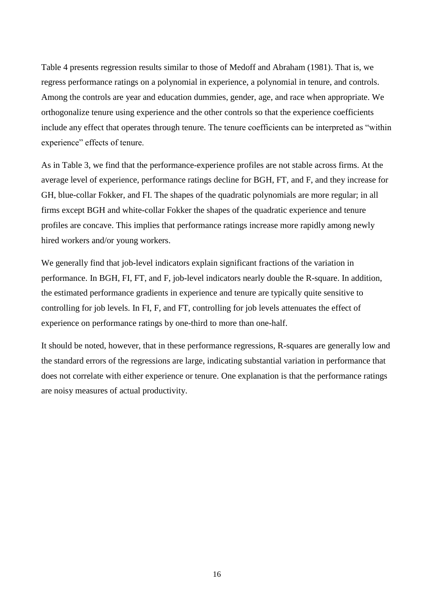Table 4 presents regression results similar to those of Medoff and Abraham (1981). That is, we regress performance ratings on a polynomial in experience, a polynomial in tenure, and controls. Among the controls are year and education dummies, gender, age, and race when appropriate. We orthogonalize tenure using experience and the other controls so that the experience coefficients include any effect that operates through tenure. The tenure coefficients can be interpreted as "within experience" effects of tenure.

As in Table 3, we find that the performance-experience profiles are not stable across firms. At the average level of experience, performance ratings decline for BGH, FT, and F, and they increase for GH, blue-collar Fokker, and FI. The shapes of the quadratic polynomials are more regular; in all firms except BGH and white-collar Fokker the shapes of the quadratic experience and tenure profiles are concave. This implies that performance ratings increase more rapidly among newly hired workers and/or young workers.

We generally find that job-level indicators explain significant fractions of the variation in performance. In BGH, FI, FT, and F, job-level indicators nearly double the R-square. In addition, the estimated performance gradients in experience and tenure are typically quite sensitive to controlling for job levels. In FI, F, and FT, controlling for job levels attenuates the effect of experience on performance ratings by one-third to more than one-half.

It should be noted, however, that in these performance regressions, R-squares are generally low and the standard errors of the regressions are large, indicating substantial variation in performance that does not correlate with either experience or tenure. One explanation is that the performance ratings are noisy measures of actual productivity.

16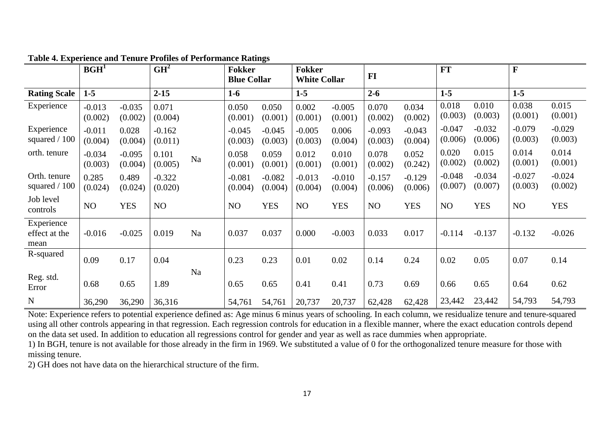|                                     | BGH <sup>1</sup>    |                     | GH <sup>2</sup>     |    | <b>Fokker</b><br><b>Blue Collar</b> |                     | <b>Fokker</b><br><b>White Collar</b> |                     | FI                  |                     | <b>FT</b>           |                     | $\mathbf{F}$        |                     |
|-------------------------------------|---------------------|---------------------|---------------------|----|-------------------------------------|---------------------|--------------------------------------|---------------------|---------------------|---------------------|---------------------|---------------------|---------------------|---------------------|
| <b>Rating Scale</b>                 | $1-5$               |                     | $2 - 15$            |    | $1-6$                               |                     | $1 - 5$                              |                     | $2 - 6$             |                     | $1-5$               |                     | $1 - 5$             |                     |
| Experience                          | $-0.013$<br>(0.002) | $-0.035$<br>(0.002) | 0.071<br>(0.004)    |    | 0.050<br>(0.001)                    | 0.050<br>(0.001)    | 0.002<br>(0.001)                     | $-0.005$<br>(0.001) | 0.070<br>(0.002)    | 0.034<br>(0.002)    | 0.018<br>(0.003)    | 0.010<br>(0.003)    | 0.038<br>(0.001)    | 0.015<br>(0.001)    |
| Experience<br>squared $/ 100$       | $-0.011$<br>(0.004) | 0.028<br>(0.004)    | $-0.162$<br>(0.011) |    | $-0.045$<br>(0.003)                 | $-0.045$<br>(0.003) | $-0.005$<br>(0.003)                  | 0.006<br>(0.004)    | $-0.093$<br>(0.003) | $-0.043$<br>(0.004) | $-0.047$<br>(0.006) | $-0.032$<br>(0.006) | $-0.079$<br>(0.003) | $-0.029$<br>(0.003) |
| orth. tenure                        | $-0.034$<br>(0.003) | $-0.095$<br>(0.004) | 0.101<br>(0.005)    | Na | 0.058<br>(0.001)                    | 0.059<br>(0.001)    | 0.012<br>(0.001)                     | 0.010<br>(0.001)    | 0.078<br>(0.002)    | 0.052<br>(0.242)    | 0.020<br>(0.002)    | 0.015<br>(0.002)    | 0.014<br>(0.001)    | 0.014<br>(0.001)    |
| Orth. tenure<br>squared $/ 100$     | 0.285<br>(0.024)    | 0.489<br>(0.024)    | $-0.322$<br>(0.020) |    | $-0.081$<br>(0.004)                 | $-0.082$<br>(0.004) | $-0.013$<br>(0.004)                  | $-0.010$<br>(0.004) | $-0.157$<br>(0.006) | $-0.129$<br>(0.006) | $-0.048$<br>(0.007) | $-0.034$<br>(0.007) | $-0.027$<br>(0.003) | $-0.024$<br>(0.002) |
| Job level<br>controls               | NO                  | <b>YES</b>          | NO                  |    | NO                                  | <b>YES</b>          | NO                                   | <b>YES</b>          | NO                  | <b>YES</b>          | NO                  | <b>YES</b>          | NO                  | <b>YES</b>          |
| Experience<br>effect at the<br>mean | $-0.016$            | $-0.025$            | 0.019               | Na | 0.037                               | 0.037               | 0.000                                | $-0.003$            | 0.033               | 0.017               | $-0.114$            | $-0.137$            | $-0.132$            | $-0.026$            |
| R-squared                           | 0.09                | 0.17                | 0.04                |    | 0.23                                | 0.23                | 0.01                                 | 0.02                | 0.14                | 0.24                | 0.02                | 0.05                | 0.07                | 0.14                |
| Reg. std.<br>Error                  | 0.68                | 0.65                | 1.89                | Na | 0.65                                | 0.65                | 0.41                                 | 0.41                | 0.73                | 0.69                | 0.66                | 0.65                | 0.64                | 0.62                |
| $\mathbf N$                         | 36,290              | 36,290              | 36,316              |    | 54,761                              | 54,761              | 20,737                               | 20,737              | 62,428              | 62,428              | 23,442              | 23,442              | 54,793              | 54,793              |

**Table 4. Experience and Tenure Profiles of Performance Ratings**

Note: Experience refers to potential experience defined as: Age minus 6 minus years of schooling. In each column, we residualize tenure and tenure-squared using all other controls appearing in that regression. Each regression controls for education in a flexible manner, where the exact education controls depend on the data set used. In addition to education all regressions control for gender and year as well as race dummies when appropriate.

1) In BGH, tenure is not available for those already in the firm in 1969. We substituted a value of 0 for the orthogonalized tenure measure for those with missing tenure.

2) GH does not have data on the hierarchical structure of the firm.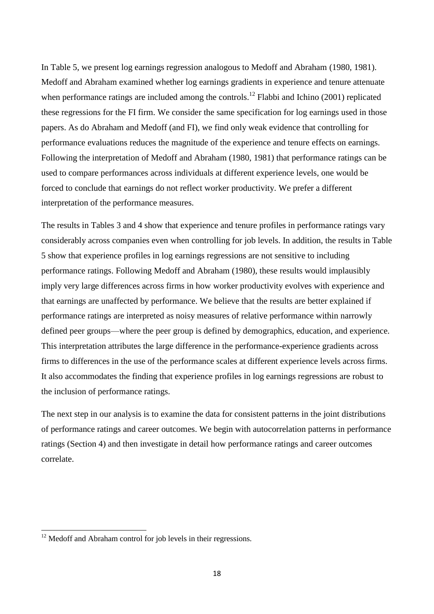In Table 5, we present log earnings regression analogous to Medoff and Abraham (1980, 1981). Medoff and Abraham examined whether log earnings gradients in experience and tenure attenuate when performance ratings are included among the controls.<sup>12</sup> Flabbi and Ichino (2001) replicated these regressions for the FI firm. We consider the same specification for log earnings used in those papers. As do Abraham and Medoff (and FI), we find only weak evidence that controlling for performance evaluations reduces the magnitude of the experience and tenure effects on earnings. Following the interpretation of Medoff and Abraham (1980, 1981) that performance ratings can be used to compare performances across individuals at different experience levels, one would be forced to conclude that earnings do not reflect worker productivity. We prefer a different interpretation of the performance measures.

The results in Tables 3 and 4 show that experience and tenure profiles in performance ratings vary considerably across companies even when controlling for job levels. In addition, the results in Table 5 show that experience profiles in log earnings regressions are not sensitive to including performance ratings. Following Medoff and Abraham (1980), these results would implausibly imply very large differences across firms in how worker productivity evolves with experience and that earnings are unaffected by performance. We believe that the results are better explained if performance ratings are interpreted as noisy measures of relative performance within narrowly defined peer groups—where the peer group is defined by demographics, education, and experience. This interpretation attributes the large difference in the performance-experience gradients across firms to differences in the use of the performance scales at different experience levels across firms. It also accommodates the finding that experience profiles in log earnings regressions are robust to the inclusion of performance ratings.

The next step in our analysis is to examine the data for consistent patterns in the joint distributions of performance ratings and career outcomes. We begin with autocorrelation patterns in performance ratings (Section 4) and then investigate in detail how performance ratings and career outcomes correlate.

1

 $12$  Medoff and Abraham control for job levels in their regressions.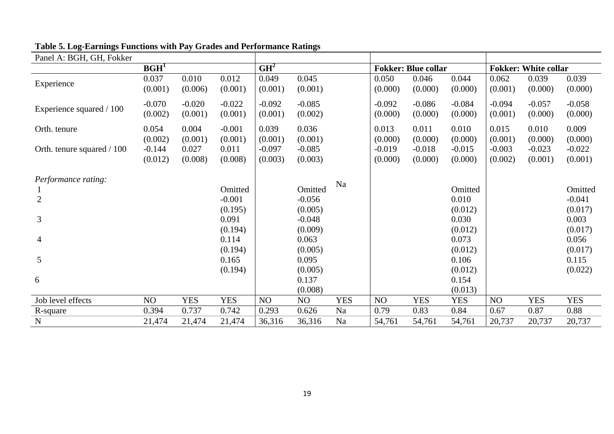| Panel A: BGH, GH, Fokker   |                  |            |            |                 |          |            |          |                            |            |          |                             |            |
|----------------------------|------------------|------------|------------|-----------------|----------|------------|----------|----------------------------|------------|----------|-----------------------------|------------|
|                            | BGH <sup>1</sup> |            |            | GH <sup>2</sup> |          |            |          | <b>Fokker: Blue collar</b> |            |          | <b>Fokker: White collar</b> |            |
| Experience                 | 0.037            | 0.010      | 0.012      | 0.049           | 0.045    |            | 0.050    | 0.046                      | 0.044      | 0.062    | 0.039                       | 0.039      |
|                            | (0.001)          | (0.006)    | (0.001)    | (0.001)         | (0.001)  |            | (0.000)  | (0.000)                    | (0.000)    | (0.001)  | (0.000)                     | (0.000)    |
|                            | $-0.070$         | $-0.020$   | $-0.022$   | $-0.092$        | $-0.085$ |            | $-0.092$ | $-0.086$                   | $-0.084$   | $-0.094$ | $-0.057$                    | $-0.058$   |
| Experience squared / 100   | (0.002)          | (0.001)    | (0.001)    | (0.001)         | (0.002)  |            | (0.000)  | (0.000)                    | (0.000)    | (0.001)  | (0.000)                     | (0.000)    |
| Orth. tenure               | 0.054            | 0.004      | $-0.001$   | 0.039           | 0.036    |            | 0.013    | 0.011                      | 0.010      | 0.015    | 0.010                       | 0.009      |
|                            | (0.002)          | (0.001)    | (0.001)    | (0.001)         | (0.001)  |            | (0.000)  | (0.000)                    | (0.000)    | (0.001)  | (0.000)                     | (0.000)    |
| Orth. tenure squared / 100 | $-0.144$         | 0.027      | 0.011      | $-0.097$        | $-0.085$ |            | $-0.019$ | $-0.018$                   | $-0.015$   | $-0.003$ | $-0.023$                    | $-0.022$   |
|                            | (0.012)          | (0.008)    | (0.008)    | (0.003)         | (0.003)  |            | (0.000)  | (0.000)                    | (0.000)    | (0.002)  | (0.001)                     | (0.001)    |
| <i>Performance rating:</i> |                  |            |            |                 |          |            |          |                            |            |          |                             |            |
|                            |                  |            | Omitted    |                 | Omitted  | Na         |          |                            | Omitted    |          |                             | Omitted    |
| $\overline{2}$             |                  |            | $-0.001$   |                 | $-0.056$ |            |          |                            | 0.010      |          |                             | $-0.041$   |
|                            |                  |            | (0.195)    |                 | (0.005)  |            |          |                            | (0.012)    |          |                             | (0.017)    |
| 3                          |                  |            | 0.091      |                 | $-0.048$ |            |          |                            | 0.030      |          |                             | 0.003      |
|                            |                  |            | (0.194)    |                 | (0.009)  |            |          |                            | (0.012)    |          |                             | (0.017)    |
| 4                          |                  |            | 0.114      |                 | 0.063    |            |          |                            | 0.073      |          |                             | 0.056      |
|                            |                  |            | (0.194)    |                 | (0.005)  |            |          |                            | (0.012)    |          |                             | (0.017)    |
| 5                          |                  |            | 0.165      |                 | 0.095    |            |          |                            | 0.106      |          |                             | 0.115      |
|                            |                  |            | (0.194)    |                 | (0.005)  |            |          |                            | (0.012)    |          |                             | (0.022)    |
| 6                          |                  |            |            |                 | 0.137    |            |          |                            | 0.154      |          |                             |            |
|                            |                  |            |            |                 | (0.008)  |            |          |                            | (0.013)    |          |                             |            |
| Job level effects          | NO               | <b>YES</b> | <b>YES</b> | NO              | NO       | <b>YES</b> | NO       | <b>YES</b>                 | <b>YES</b> | NO       | <b>YES</b>                  | <b>YES</b> |
| R-square                   | 0.394            | 0.737      | 0.742      | 0.293           | 0.626    | Na         | 0.79     | 0.83                       | 0.84       | 0.67     | 0.87                        | 0.88       |
| ${\bf N}$                  | 21,474           | 21,474     | 21,474     | 36,316          | 36,316   | Na         | 54,761   | 54,761                     | 54,761     | 20,737   | 20,737                      | 20,737     |

# **Table 5. Log-Earnings Functions with Pay Grades and Performance Ratings**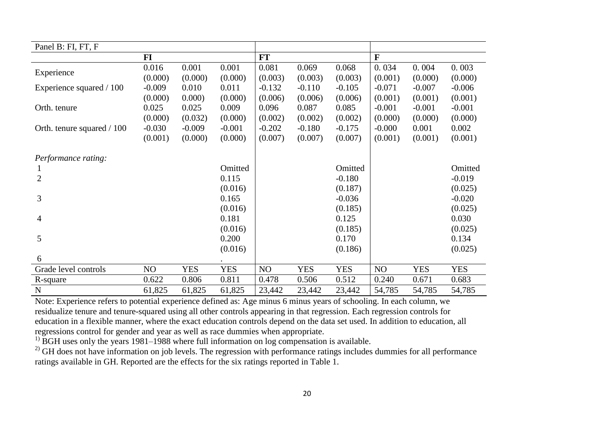| Panel B: FI, FT, F         |           |            |            |          |            |            |              |            |            |
|----------------------------|-----------|------------|------------|----------|------------|------------|--------------|------------|------------|
|                            | <b>FI</b> |            |            | FT       |            |            | $\mathbf{F}$ |            |            |
|                            | 0.016     | 0.001      | 0.001      | 0.081    | 0.069      | 0.068      | 0.034        | 0.004      | 0.003      |
| Experience                 | (0.000)   | (0.000)    | (0.000)    | (0.003)  | (0.003)    | (0.003)    | (0.001)      | (0.000)    | (0.000)    |
| Experience squared / 100   | $-0.009$  | 0.010      | 0.011      | $-0.132$ | $-0.110$   | $-0.105$   | $-0.071$     | $-0.007$   | $-0.006$   |
|                            | (0.000)   | 0.000      | (0.000)    | (0.006)  | (0.006)    | (0.006)    | (0.001)      | (0.001)    | (0.001)    |
| Orth. tenure               | 0.025     | 0.025      | 0.009      | 0.096    | 0.087      | 0.085      | $-0.001$     | $-0.001$   | $-0.001$   |
|                            | (0.000)   | (0.032)    | (0.000)    | (0.002)  | (0.002)    | (0.002)    | (0.000)      | (0.000)    | (0.000)    |
| Orth. tenure squared / 100 | $-0.030$  | $-0.009$   | $-0.001$   | $-0.202$ | $-0.180$   | $-0.175$   | $-0.000$     | 0.001      | 0.002      |
|                            | (0.001)   | (0.000)    | (0.000)    | (0.007)  | (0.007)    | (0.007)    | (0.001)      | (0.001)    | (0.001)    |
|                            |           |            |            |          |            |            |              |            |            |
| Performance rating:        |           |            |            |          |            |            |              |            |            |
|                            |           |            | Omitted    |          |            | Omitted    |              |            | Omitted    |
| $\overline{2}$             |           |            | 0.115      |          |            | $-0.180$   |              |            | $-0.019$   |
|                            |           |            | (0.016)    |          |            | (0.187)    |              |            | (0.025)    |
| 3                          |           |            | 0.165      |          |            | $-0.036$   |              |            | $-0.020$   |
|                            |           |            | (0.016)    |          |            | (0.185)    |              |            | (0.025)    |
| 4                          |           |            | 0.181      |          |            | 0.125      |              |            | 0.030      |
|                            |           |            | (0.016)    |          |            | (0.185)    |              |            | (0.025)    |
| 5                          |           |            | 0.200      |          |            | 0.170      |              |            | 0.134      |
|                            |           |            | (0.016)    |          |            | (0.186)    |              |            | (0.025)    |
| 6                          |           |            |            |          |            |            |              |            |            |
| Grade level controls       | NO        | <b>YES</b> | <b>YES</b> | NO       | <b>YES</b> | <b>YES</b> | NO           | <b>YES</b> | <b>YES</b> |
| R-square                   | 0.622     | 0.806      | 0.811      | 0.478    | 0.506      | 0.512      | 0.240        | 0.671      | 0.683      |
| $\mathbf N$                | 61,825    | 61,825     | 61,825     | 23,442   | 23,442     | 23,442     | 54,785       | 54,785     | 54,785     |

Note: Experience refers to potential experience defined as: Age minus 6 minus years of schooling. In each column, we residualize tenure and tenure-squared using all other controls appearing in that regression. Each regression controls for education in a flexible manner, where the exact education controls depend on the data set used. In addition to education, all regressions control for gender and year as well as race dummies when appropriate.

 $1)$  BGH uses only the years 1981–1988 where full information on log compensation is available.

<sup>2)</sup> GH does not have information on job levels. The regression with performance ratings includes dummies for all performance ratings available in GH. Reported are the effects for the six ratings reported in Table 1.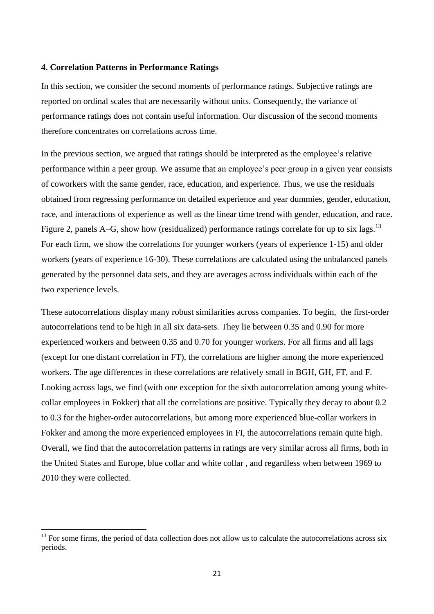#### **4. Correlation Patterns in Performance Ratings**

In this section, we consider the second moments of performance ratings. Subjective ratings are reported on ordinal scales that are necessarily without units. Consequently, the variance of performance ratings does not contain useful information. Our discussion of the second moments therefore concentrates on correlations across time.

In the previous section, we argued that ratings should be interpreted as the employee's relative performance within a peer group. We assume that an employee's peer group in a given year consists of coworkers with the same gender, race, education, and experience. Thus, we use the residuals obtained from regressing performance on detailed experience and year dummies, gender, education, race, and interactions of experience as well as the linear time trend with gender, education, and race. Figure 2, panels A–G, show how (residualized) performance ratings correlate for up to six lags.<sup>13</sup> For each firm, we show the correlations for younger workers (years of experience 1-15) and older workers (years of experience 16-30). These correlations are calculated using the unbalanced panels generated by the personnel data sets, and they are averages across individuals within each of the two experience levels.

These autocorrelations display many robust similarities across companies. To begin, the first-order autocorrelations tend to be high in all six data-sets. They lie between 0.35 and 0.90 for more experienced workers and between 0.35 and 0.70 for younger workers. For all firms and all lags (except for one distant correlation in FT), the correlations are higher among the more experienced workers. The age differences in these correlations are relatively small in BGH, GH, FT, and F. Looking across lags, we find (with one exception for the sixth autocorrelation among young whitecollar employees in Fokker) that all the correlations are positive. Typically they decay to about 0.2 to 0.3 for the higher-order autocorrelations, but among more experienced blue-collar workers in Fokker and among the more experienced employees in FI, the autocorrelations remain quite high. Overall, we find that the autocorrelation patterns in ratings are very similar across all firms, both in the United States and Europe, blue collar and white collar , and regardless when between 1969 to 2010 they were collected.

**.** 

 $13$  For some firms, the period of data collection does not allow us to calculate the autocorrelations across six periods.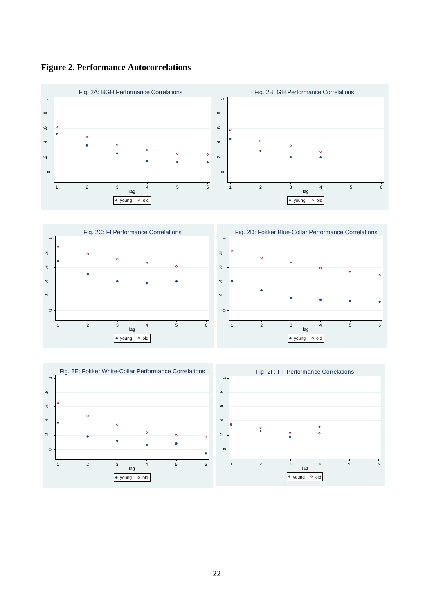

 $\boxed{\bullet\text{ young}}$  o old



 $\boxed{\bullet\text{ young}}$  old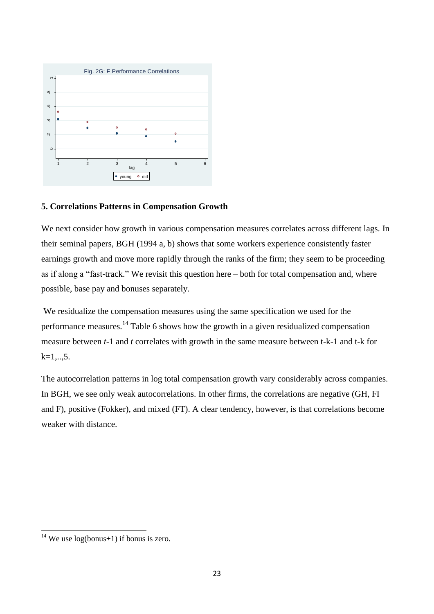

# **5. Correlations Patterns in Compensation Growth**

We next consider how growth in various compensation measures correlates across different lags. In their seminal papers, BGH (1994 a, b) shows that some workers experience consistently faster earnings growth and move more rapidly through the ranks of the firm; they seem to be proceeding as if along a "fast-track." We revisit this question here – both for total compensation and, where possible, base pay and bonuses separately.

We residualize the compensation measures using the same specification we used for the performance measures.<sup>14</sup> Table 6 shows how the growth in a given residualized compensation measure between *t*-1 and *t* correlates with growth in the same measure between t-k-1 and t-k for  $k=1,...,5$ .

The autocorrelation patterns in log total compensation growth vary considerably across companies. In BGH, we see only weak autocorrelations. In other firms, the correlations are negative (GH, FI and F), positive (Fokker), and mixed (FT). A clear tendency, however, is that correlations become weaker with distance.

1

<sup>&</sup>lt;sup>14</sup> We use  $log(bonus+1)$  if bonus is zero.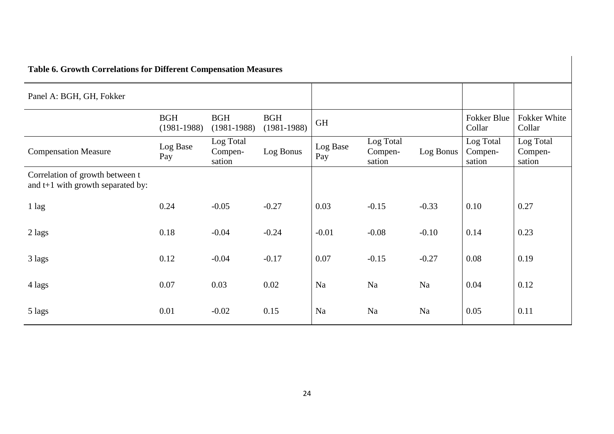| Table of Growin Correlations for Directent Compensation Measures     |                             |                                |                               |                 |                                |           |                                |                                |
|----------------------------------------------------------------------|-----------------------------|--------------------------------|-------------------------------|-----------------|--------------------------------|-----------|--------------------------------|--------------------------------|
| Panel A: BGH, GH, Fokker                                             |                             |                                |                               |                 |                                |           |                                |                                |
|                                                                      | <b>BGH</b><br>$(1981-1988)$ | <b>BGH</b><br>$(1981-1988)$    | <b>BGH</b><br>$(1981 - 1988)$ | <b>GH</b>       |                                |           | Fokker Blue<br>Collar          | Fokker White<br>Collar         |
| <b>Compensation Measure</b>                                          | Log Base<br>Pay             | Log Total<br>Compen-<br>sation | Log Bonus                     | Log Base<br>Pay | Log Total<br>Compen-<br>sation | Log Bonus | Log Total<br>Compen-<br>sation | Log Total<br>Compen-<br>sation |
| Correlation of growth between t<br>and t+1 with growth separated by: |                             |                                |                               |                 |                                |           |                                |                                |
| $1$ lag                                                              | 0.24                        | $-0.05$                        | $-0.27$                       | 0.03            | $-0.15$                        | $-0.33$   | 0.10                           | 0.27                           |
| 2 lags                                                               | 0.18                        | $-0.04$                        | $-0.24$                       | $-0.01$         | $-0.08$                        | $-0.10$   | 0.14                           | 0.23                           |
| 3 lags                                                               | 0.12                        | $-0.04$                        | $-0.17$                       | 0.07            | $-0.15$                        | $-0.27$   | 0.08                           | 0.19                           |
| 4 lags                                                               | 0.07                        | 0.03                           | 0.02                          | Na              | Na                             | Na        | 0.04                           | 0.12                           |
| 5 lags                                                               | 0.01                        | $-0.02$                        | 0.15                          | Na              | Na                             | Na        | 0.05                           | 0.11                           |

# **Table 6. Growth Correlations for Different Compensation Measures**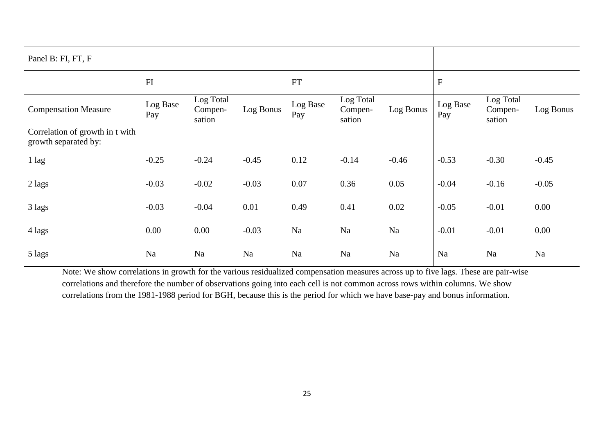| Panel B: FI, FT, F                                      |                 |                                |           |                 |                                |           |                 |                                |           |
|---------------------------------------------------------|-----------------|--------------------------------|-----------|-----------------|--------------------------------|-----------|-----------------|--------------------------------|-----------|
|                                                         | ${\rm FI}$      |                                |           | <b>FT</b>       |                                |           | ${\bf F}$       |                                |           |
| <b>Compensation Measure</b>                             | Log Base<br>Pay | Log Total<br>Compen-<br>sation | Log Bonus | Log Base<br>Pay | Log Total<br>Compen-<br>sation | Log Bonus | Log Base<br>Pay | Log Total<br>Compen-<br>sation | Log Bonus |
| Correlation of growth in t with<br>growth separated by: |                 |                                |           |                 |                                |           |                 |                                |           |
| 1 lag                                                   | $-0.25$         | $-0.24$                        | $-0.45$   | 0.12            | $-0.14$                        | $-0.46$   | $-0.53$         | $-0.30$                        | $-0.45$   |
| 2 lags                                                  | $-0.03$         | $-0.02$                        | $-0.03$   | 0.07            | 0.36                           | 0.05      | $-0.04$         | $-0.16$                        | $-0.05$   |
| 3 lags                                                  | $-0.03$         | $-0.04$                        | 0.01      | 0.49            | 0.41                           | 0.02      | $-0.05$         | $-0.01$                        | 0.00      |
| 4 lags                                                  | $0.00\,$        | 0.00                           | $-0.03$   | Na              | Na                             | Na        | $-0.01$         | $-0.01$                        | 0.00      |
| 5 lags                                                  | Na              | Na                             | Na        | Na              | Na                             | Na        | Na              | Na                             | Na        |

Note: We show correlations in growth for the various residualized compensation measures across up to five lags. These are pair-wise correlations and therefore the number of observations going into each cell is not common across rows within columns. We show correlations from the 1981-1988 period for BGH, because this is the period for which we have base-pay and bonus information.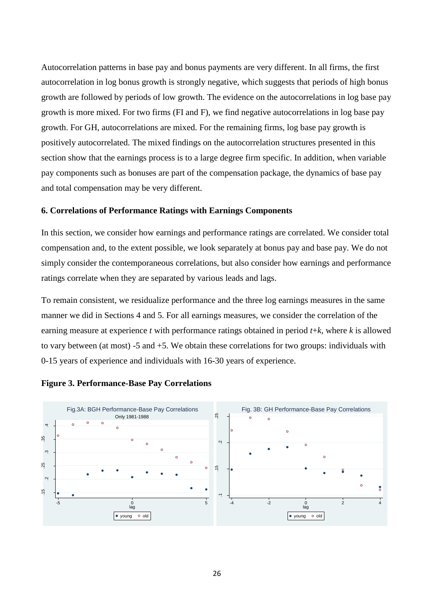Autocorrelation patterns in base pay and bonus payments are very different. In all firms, the first autocorrelation in log bonus growth is strongly negative, which suggests that periods of high bonus growth are followed by periods of low growth. The evidence on the autocorrelations in log base pay growth is more mixed. For two firms (FI and F), we find negative autocorrelations in log base pay growth. For GH, autocorrelations are mixed. For the remaining firms, log base pay growth is positively autocorrelated. The mixed findings on the autocorrelation structures presented in this section show that the earnings process is to a large degree firm specific. In addition, when variable pay components such as bonuses are part of the compensation package, the dynamics of base pay and total compensation may be very different.

#### **6. Correlations of Performance Ratings with Earnings Components**

In this section, we consider how earnings and performance ratings are correlated. We consider total compensation and, to the extent possible, we look separately at bonus pay and base pay. We do not simply consider the contemporaneous correlations, but also consider how earnings and performance ratings correlate when they are separated by various leads and lags.

To remain consistent, we residualize performance and the three log earnings measures in the same manner we did in Sections 4 and 5. For all earnings measures, we consider the correlation of the earning measure at experience *t* with performance ratings obtained in period *t*+*k*, where *k* is allowed to vary between (at most) -5 and +5. We obtain these correlations for two groups: individuals with 0-15 years of experience and individuals with 16-30 years of experience.



### **Figure 3. Performance-Base Pay Correlations**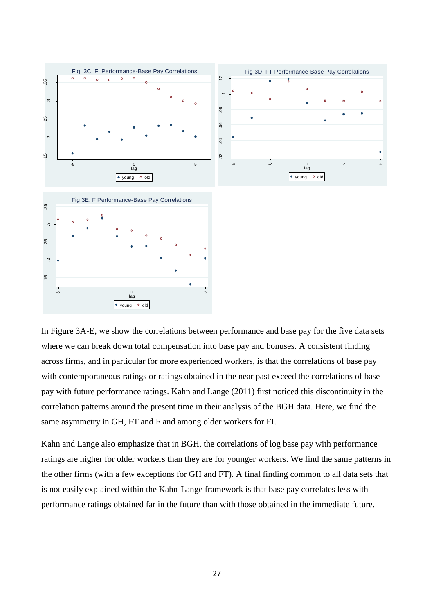

In Figure 3A-E, we show the correlations between performance and base pay for the five data sets where we can break down total compensation into base pay and bonuses. A consistent finding across firms, and in particular for more experienced workers, is that the correlations of base pay with contemporaneous ratings or ratings obtained in the near past exceed the correlations of base pay with future performance ratings. Kahn and Lange (2011) first noticed this discontinuity in the correlation patterns around the present time in their analysis of the BGH data. Here, we find the same asymmetry in GH, FT and F and among older workers for FI.

Kahn and Lange also emphasize that in BGH, the correlations of log base pay with performance ratings are higher for older workers than they are for younger workers. We find the same patterns in the other firms (with a few exceptions for GH and FT). A final finding common to all data sets that is not easily explained within the Kahn-Lange framework is that base pay correlates less with performance ratings obtained far in the future than with those obtained in the immediate future.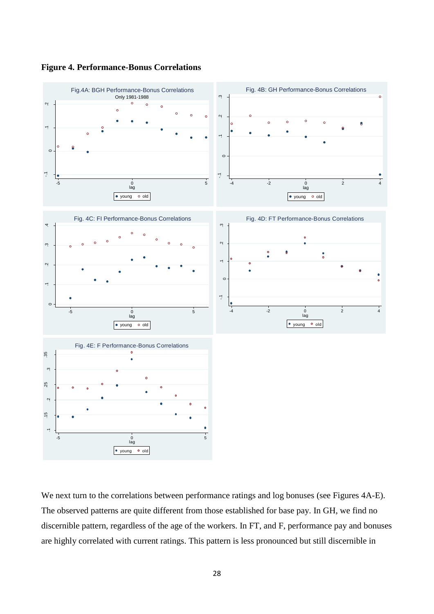

**Figure 4. Performance-Bonus Correlations**

We next turn to the correlations between performance ratings and log bonuses (see Figures 4A-E). The observed patterns are quite different from those established for base pay. In GH, we find no discernible pattern, regardless of the age of the workers. In FT, and F, performance pay and bonuses are highly correlated with current ratings. This pattern is less pronounced but still discernible in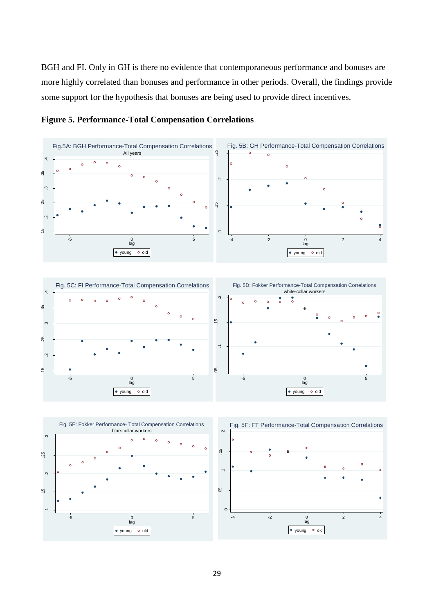BGH and FI. Only in GH is there no evidence that contemporaneous performance and bonuses are more highly correlated than bonuses and performance in other periods. Overall, the findings provide some support for the hypothesis that bonuses are being used to provide direct incentives.







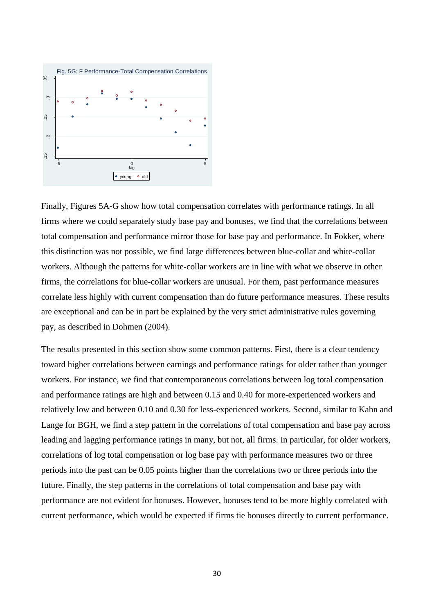

Finally, Figures 5A-G show how total compensation correlates with performance ratings. In all firms where we could separately study base pay and bonuses, we find that the correlations between total compensation and performance mirror those for base pay and performance. In Fokker, where this distinction was not possible, we find large differences between blue-collar and white-collar workers. Although the patterns for white-collar workers are in line with what we observe in other firms, the correlations for blue-collar workers are unusual. For them, past performance measures correlate less highly with current compensation than do future performance measures. These results are exceptional and can be in part be explained by the very strict administrative rules governing pay, as described in Dohmen (2004).

The results presented in this section show some common patterns. First, there is a clear tendency toward higher correlations between earnings and performance ratings for older rather than younger workers. For instance, we find that contemporaneous correlations between log total compensation and performance ratings are high and between 0.15 and 0.40 for more-experienced workers and relatively low and between 0.10 and 0.30 for less-experienced workers. Second, similar to Kahn and Lange for BGH, we find a step pattern in the correlations of total compensation and base pay across leading and lagging performance ratings in many, but not, all firms. In particular, for older workers, correlations of log total compensation or log base pay with performance measures two or three periods into the past can be 0.05 points higher than the correlations two or three periods into the future. Finally, the step patterns in the correlations of total compensation and base pay with performance are not evident for bonuses. However, bonuses tend to be more highly correlated with current performance, which would be expected if firms tie bonuses directly to current performance.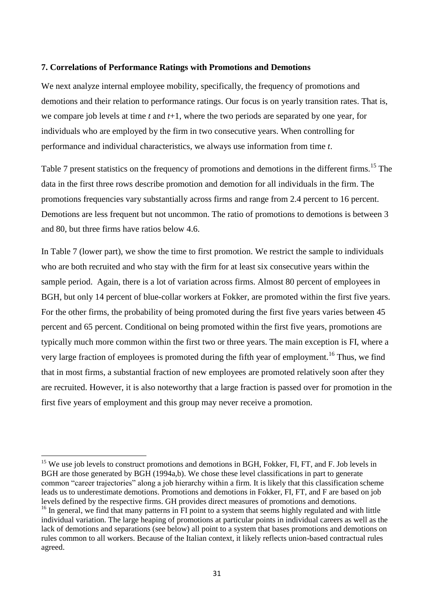#### **7. Correlations of Performance Ratings with Promotions and Demotions**

We next analyze internal employee mobility, specifically, the frequency of promotions and demotions and their relation to performance ratings. Our focus is on yearly transition rates. That is, we compare job levels at time *t* and *t*+1, where the two periods are separated by one year, for individuals who are employed by the firm in two consecutive years. When controlling for performance and individual characteristics, we always use information from time *t*.

Table 7 present statistics on the frequency of promotions and demotions in the different firms.<sup>15</sup> The data in the first three rows describe promotion and demotion for all individuals in the firm. The promotions frequencies vary substantially across firms and range from 2.4 percent to 16 percent. Demotions are less frequent but not uncommon. The ratio of promotions to demotions is between 3 and 80, but three firms have ratios below 4.6.

In Table 7 (lower part), we show the time to first promotion. We restrict the sample to individuals who are both recruited and who stay with the firm for at least six consecutive years within the sample period. Again, there is a lot of variation across firms. Almost 80 percent of employees in BGH, but only 14 percent of blue-collar workers at Fokker, are promoted within the first five years. For the other firms, the probability of being promoted during the first five years varies between 45 percent and 65 percent. Conditional on being promoted within the first five years, promotions are typically much more common within the first two or three years. The main exception is FI, where a very large fraction of employees is promoted during the fifth year of employment.<sup>16</sup> Thus, we find that in most firms, a substantial fraction of new employees are promoted relatively soon after they are recruited. However, it is also noteworthy that a large fraction is passed over for promotion in the first five years of employment and this group may never receive a promotion.

**.** 

<sup>&</sup>lt;sup>15</sup> We use job levels to construct promotions and demotions in BGH, Fokker, FI, FT, and F. Job levels in BGH are those generated by BGH (1994a,b). We chose these level classifications in part to generate common "career trajectories" along a job hierarchy within a firm. It is likely that this classification scheme leads us to underestimate demotions. Promotions and demotions in Fokker, FI, FT, and F are based on job levels defined by the respective firms. GH provides direct measures of promotions and demotions.

<sup>&</sup>lt;sup>16</sup> In general, we find that many patterns in FI point to a system that seems highly regulated and with little individual variation. The large heaping of promotions at particular points in individual careers as well as the lack of demotions and separations (see below) all point to a system that bases promotions and demotions on rules common to all workers. Because of the Italian context, it likely reflects union-based contractual rules agreed.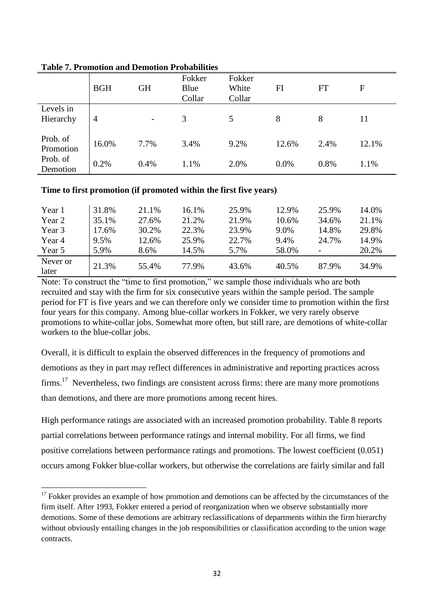|                       | <b>BGH</b> | <b>GH</b>                | Fokker<br>Blue<br>Collar | Fokker<br>White<br>Collar | FI    | FT   | F     |
|-----------------------|------------|--------------------------|--------------------------|---------------------------|-------|------|-------|
| Levels in             |            |                          |                          |                           |       |      |       |
| Hierarchy             | 4          | $\overline{\phantom{a}}$ | 3                        | 5                         | 8     | 8    | 11    |
| Prob. of<br>Promotion | 16.0%      | 7.7%                     | 3.4%                     | 9.2%                      | 12.6% | 2.4% | 12.1% |
| Prob. of<br>Demotion  | 0.2%       | 0.4%                     | 1.1%                     | 2.0%                      | 0.0%  | 0.8% | 1.1%  |

# **Table 7. Promotion and Demotion Probabilities**

**.** 

# **Time to first promotion (if promoted within the first five years)**

| Year 1   | 31.8% | 21.1% | 16.1% | 25.9% | 12.9% | 25.9%          | 14.0% |
|----------|-------|-------|-------|-------|-------|----------------|-------|
| Year 2   | 35.1% | 27.6% | 21.2% | 21.9% | 10.6% | 34.6%          | 21.1% |
| Year 3   | 17.6% | 30.2% | 22.3% | 23.9% | 9.0%  | 14.8%          | 29.8% |
| Year 4   | 9.5%  | 12.6% | 25.9% | 22.7% | 9.4%  | 24.7%          | 14.9% |
| Year 5   | 5.9%  | 8.6%  | 14.5% | 5.7%  | 58.0% | $\overline{a}$ | 20.2% |
| Never or | 21.3% | 55.4% | 77.9% | 43.6% | 40.5% | 87.9%          | 34.9% |
| later    |       |       |       |       |       |                |       |

Note: To construct the "time to first promotion," we sample those individuals who are both recruited and stay with the firm for six consecutive years within the sample period. The sample period for FT is five years and we can therefore only we consider time to promotion within the first four years for this company. Among blue-collar workers in Fokker, we very rarely observe promotions to white-collar jobs. Somewhat more often, but still rare, are demotions of white-collar workers to the blue-collar jobs.

Overall, it is difficult to explain the observed differences in the frequency of promotions and demotions as they in part may reflect differences in administrative and reporting practices across  $firms.<sup>17</sup> Nevertheless, two findings are consistent across firms: there are many more promotions$ than demotions, and there are more promotions among recent hires.

High performance ratings are associated with an increased promotion probability. Table 8 reports partial correlations between performance ratings and internal mobility. For all firms, we find positive correlations between performance ratings and promotions. The lowest coefficient (0.051) occurs among Fokker blue-collar workers, but otherwise the correlations are fairly similar and fall

 $17$  Fokker provides an example of how promotion and demotions can be affected by the circumstances of the firm itself. After 1993, Fokker entered a period of reorganization when we observe substantially more demotions. Some of these demotions are arbitrary reclassifications of departments within the firm hierarchy without obviously entailing changes in the job responsibilities or classification according to the union wage contracts.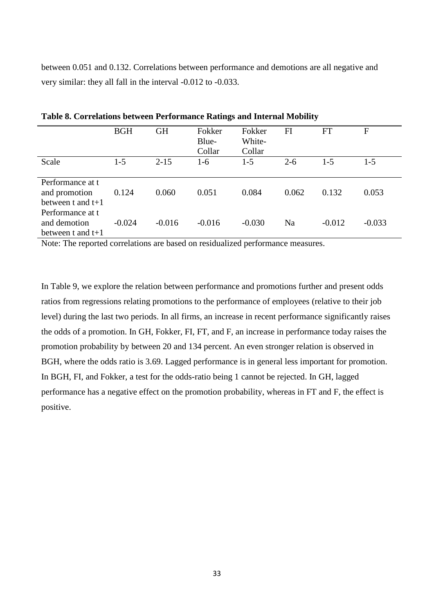between 0.051 and 0.132. Correlations between performance and demotions are all negative and very similar: they all fall in the interval -0.012 to -0.033.

|                                                                              | <b>BGH</b> | <b>GH</b> | Fokker<br>Blue-<br>Collar | Fokker<br>White-<br>Collar | FI      | <b>FT</b> | F        |
|------------------------------------------------------------------------------|------------|-----------|---------------------------|----------------------------|---------|-----------|----------|
| Scale                                                                        | $1-5$      | $2 - 15$  | $1-6$                     | $1 - 5$                    | $2 - 6$ | $1 - 5$   | $1 - 5$  |
| Performance at t<br>and promotion<br>between t and $t+1$<br>Performance at t | 0.124      | 0.060     | 0.051                     | 0.084                      | 0.062   | 0.132     | 0.053    |
| and demotion<br>between t and $t+1$                                          | $-0.024$   | $-0.016$  | $-0.016$                  | $-0.030$                   | Na      | $-0.012$  | $-0.033$ |

**Table 8. Correlations between Performance Ratings and Internal Mobility**

Note: The reported correlations are based on residualized performance measures.

In Table 9, we explore the relation between performance and promotions further and present odds ratios from regressions relating promotions to the performance of employees (relative to their job level) during the last two periods. In all firms, an increase in recent performance significantly raises the odds of a promotion. In GH, Fokker, FI, FT, and F, an increase in performance today raises the promotion probability by between 20 and 134 percent. An even stronger relation is observed in BGH, where the odds ratio is 3.69. Lagged performance is in general less important for promotion. In BGH, FI, and Fokker, a test for the odds-ratio being 1 cannot be rejected. In GH, lagged performance has a negative effect on the promotion probability, whereas in FT and F, the effect is positive.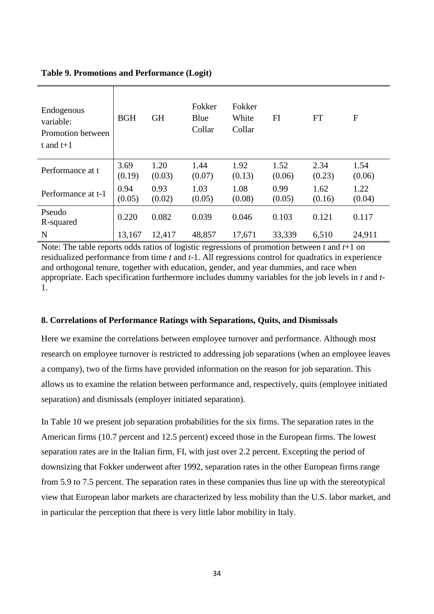| Endogenous<br>variable:<br>Promotion between<br>t and $t+1$ | <b>BGH</b>     | <b>GH</b>      | Fokker<br>Blue<br>Collar | Fokker<br>White<br>Collar | FI             | <b>FT</b>      | F              |
|-------------------------------------------------------------|----------------|----------------|--------------------------|---------------------------|----------------|----------------|----------------|
| Performance at t                                            | 3.69<br>(0.19) | 1.20<br>(0.03) | 1.44<br>(0.07)           | 1.92<br>(0.13)            | 1.52<br>(0.06) | 2.34<br>(0.23) | 1.54<br>(0.06) |
| Performance at t-1                                          | 0.94<br>(0.05) | 0.93<br>(0.02) | 1.03<br>(0.05)           | 1.08<br>(0.08)            | 0.99<br>(0.05) | 1.62<br>(0.16) | 1.22<br>(0.04) |
| Pseudo<br>R-squared                                         | 0.220          | 0.082          | 0.039                    | 0.046                     | 0.103          | 0.121          | 0.117          |
| N                                                           | 13,167         | 12,417         | 48,857                   | 17,671                    | 33,339         | 6,510          | 24,911         |

Note: The table reports odds ratios of logistic regressions of promotion between *t* and *t*+1 on residualized performance from time *t* and *t*-1. All regressions control for quadratics in experience and orthogonal tenure, together with education, gender, and year dummies, and race when appropriate. Each specification furthermore includes dummy variables for the job levels in *t* and *t*-1.

# **8. Correlations of Performance Ratings with Separations, Quits, and Dismissals**

Here we examine the correlations between employee turnover and performance. Although most research on employee turnover is restricted to addressing job separations (when an employee leaves a company), two of the firms have provided information on the reason for job separation. This allows us to examine the relation between performance and, respectively, quits (employee initiated separation) and dismissals (employer initiated separation).

In Table 10 we present job separation probabilities for the six firms. The separation rates in the American firms (10.7 percent and 12.5 percent) exceed those in the European firms. The lowest separation rates are in the Italian firm, FI, with just over 2.2 percent. Excepting the period of downsizing that Fokker underwent after 1992, separation rates in the other European firms range from 5.9 to 7.5 percent. The separation rates in these companies thus line up with the stereotypical view that European labor markets are characterized by less mobility than the U.S. labor market, and in particular the perception that there is very little labor mobility in Italy.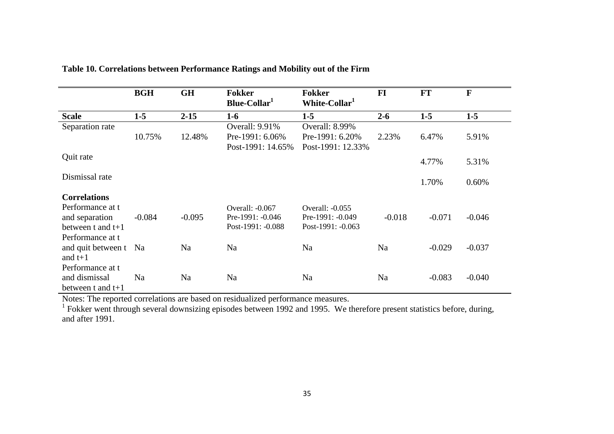|                       | <b>BGH</b> | <b>GH</b> | <b>Fokker</b><br><b>Fokker</b><br>White-Collar <sup>1</sup><br>Blue-Collar <sup>1</sup> |                   | FI       | <b>FT</b> | $\mathbf{F}$ |
|-----------------------|------------|-----------|-----------------------------------------------------------------------------------------|-------------------|----------|-----------|--------------|
| <b>Scale</b>          | $1-5$      | $2 - 15$  | $1-6$                                                                                   | $1-5$             | $2 - 6$  | $1-5$     | $1-5$        |
| Separation rate       |            |           | Overall: 9.91%                                                                          | Overall: 8.99%    |          |           |              |
|                       | 10.75%     | 12.48%    | Pre-1991: 6.06%                                                                         | Pre-1991: 6.20%   | 2.23%    | 6.47%     | 5.91%        |
|                       |            |           | Post-1991: 14.65%                                                                       | Post-1991: 12.33% |          |           |              |
| Quit rate             |            |           |                                                                                         |                   |          | 4.77%     | 5.31%        |
| Dismissal rate        |            |           |                                                                                         |                   |          | 1.70%     | 0.60%        |
| <b>Correlations</b>   |            |           |                                                                                         |                   |          |           |              |
| Performance at t      |            |           | Overall: -0.067                                                                         | Overall: -0.055   |          |           |              |
| and separation        | $-0.084$   | $-0.095$  | Pre-1991: -0.046                                                                        | Pre-1991: -0.049  | $-0.018$ | $-0.071$  | $-0.046$     |
| between t and $t+1$   |            |           | Post-1991: -0.088                                                                       | Post-1991: -0.063 |          |           |              |
| Performance at t      |            |           |                                                                                         |                   |          |           |              |
| and quit between t Na |            | Na        | Na                                                                                      | Na                | Na       | $-0.029$  | $-0.037$     |
| and $t+1$             |            |           |                                                                                         |                   |          |           |              |
| Performance at t      |            |           |                                                                                         |                   |          |           |              |
| and dismissal         | Na         | Na        | Na                                                                                      | Na                | Na       | $-0.083$  | $-0.040$     |
| between t and $t+1$   |            |           |                                                                                         |                   |          |           |              |

**Table 10. Correlations between Performance Ratings and Mobility out of the Firm**

Notes: The reported correlations are based on residualized performance measures.<br><sup>1</sup> Fokker went through several downsizing episodes between 1992 and 1995. We therefore present statistics before, during, and after 1991.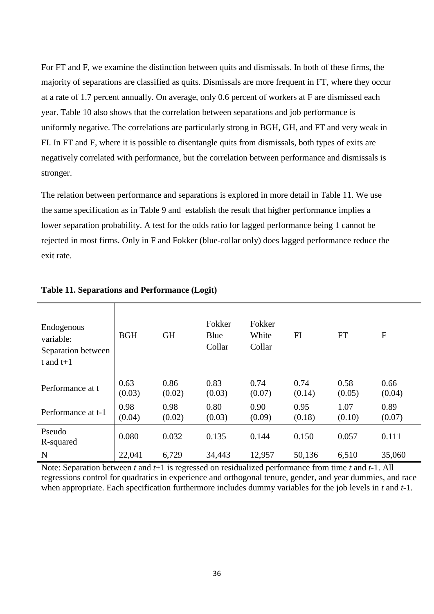For FT and F, we examine the distinction between quits and dismissals. In both of these firms, the majority of separations are classified as quits. Dismissals are more frequent in FT, where they occur at a rate of 1.7 percent annually. On average, only 0.6 percent of workers at F are dismissed each year. Table 10 also shows that the correlation between separations and job performance is uniformly negative. The correlations are particularly strong in BGH, GH, and FT and very weak in FI. In FT and F, where it is possible to disentangle quits from dismissals, both types of exits are negatively correlated with performance, but the correlation between performance and dismissals is stronger.

The relation between performance and separations is explored in more detail in Table 11. We use the same specification as in Table 9 and establish the result that higher performance implies a lower separation probability. A test for the odds ratio for lagged performance being 1 cannot be rejected in most firms. Only in F and Fokker (blue-collar only) does lagged performance reduce the exit rate.

| Endogenous<br>variable:<br>Separation between<br>t and $t+1$ | <b>BGH</b>     | <b>GH</b>      | Fokker<br>Blue | Fokker<br>White | FI             | <b>FT</b>      | ${\bf F}$      |
|--------------------------------------------------------------|----------------|----------------|----------------|-----------------|----------------|----------------|----------------|
|                                                              |                |                | Collar         | Collar          |                |                |                |
| Performance at t                                             | 0.63<br>(0.03) | 0.86<br>(0.02) | 0.83<br>(0.03) | 0.74<br>(0.07)  | 0.74<br>(0.14) | 0.58<br>(0.05) | 0.66<br>(0.04) |
| Performance at t-1                                           | 0.98<br>(0.04) | 0.98<br>(0.02) | 0.80<br>(0.03) | 0.90<br>(0.09)  | 0.95<br>(0.18) | 1.07<br>(0.10) | 0.89<br>(0.07) |
| Pseudo<br>R-squared                                          | 0.080          | 0.032          | 0.135          | 0.144           | 0.150          | 0.057          | 0.111          |
| N                                                            | 22,041         | 6,729          | 34,443         | 12,957          | 50,136         | 6,510          | 35,060         |

## **Table 11. Separations and Performance (Logit)**

Note: Separation between *t* and *t*+1 is regressed on residualized performance from time *t* and *t*-1. All regressions control for quadratics in experience and orthogonal tenure, gender, and year dummies, and race when appropriate. Each specification furthermore includes dummy variables for the job levels in *t* and *t*-1.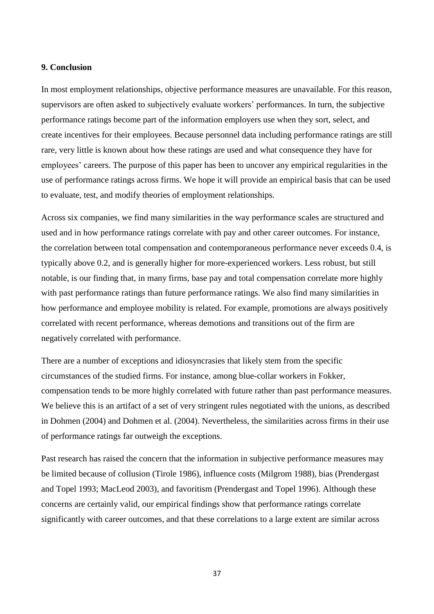#### **9. Conclusion**

In most employment relationships, objective performance measures are unavailable. For this reason, supervisors are often asked to subjectively evaluate workers' performances. In turn, the subjective performance ratings become part of the information employers use when they sort, select, and create incentives for their employees. Because personnel data including performance ratings are still rare, very little is known about how these ratings are used and what consequence they have for employees' careers. The purpose of this paper has been to uncover any empirical regularities in the use of performance ratings across firms. We hope it will provide an empirical basis that can be used to evaluate, test, and modify theories of employment relationships.

Across six companies, we find many similarities in the way performance scales are structured and used and in how performance ratings correlate with pay and other career outcomes. For instance, the correlation between total compensation and contemporaneous performance never exceeds 0.4, is typically above 0.2, and is generally higher for more-experienced workers. Less robust, but still notable, is our finding that, in many firms, base pay and total compensation correlate more highly with past performance ratings than future performance ratings. We also find many similarities in how performance and employee mobility is related. For example, promotions are always positively correlated with recent performance, whereas demotions and transitions out of the firm are negatively correlated with performance.

There are a number of exceptions and idiosyncrasies that likely stem from the specific circumstances of the studied firms. For instance, among blue-collar workers in Fokker, compensation tends to be more highly correlated with future rather than past performance measures. We believe this is an artifact of a set of very stringent rules negotiated with the unions, as described in Dohmen (2004) and Dohmen et al. (2004). Nevertheless, the similarities across firms in their use of performance ratings far outweigh the exceptions.

Past research has raised the concern that the information in subjective performance measures may be limited because of collusion (Tirole 1986), influence costs (Milgrom 1988), bias (Prendergast and Topel 1993; MacLeod 2003), and favoritism (Prendergast and Topel 1996). Although these concerns are certainly valid, our empirical findings show that performance ratings correlate significantly with career outcomes, and that these correlations to a large extent are similar across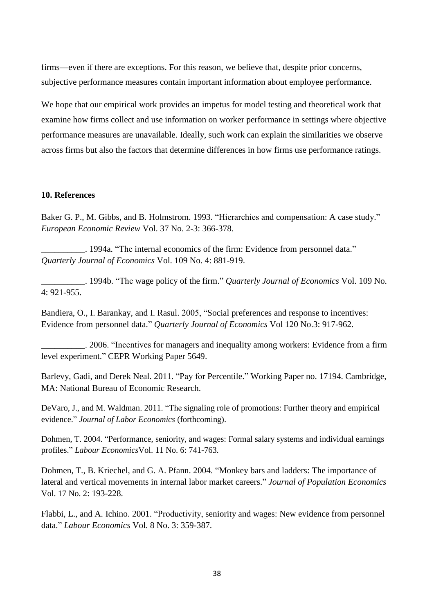firms—even if there are exceptions. For this reason, we believe that, despite prior concerns, subjective performance measures contain important information about employee performance.

We hope that our empirical work provides an impetus for model testing and theoretical work that examine how firms collect and use information on worker performance in settings where objective performance measures are unavailable. Ideally, such work can explain the similarities we observe across firms but also the factors that determine differences in how firms use performance ratings.

#### **10. References**

Baker G. P., M. Gibbs, and B. Holmstrom. 1993. "Hierarchies and compensation: A case study." *European Economic Review* Vol. 37 No. 2-3: 366-378.

Lackson 2014 and S1994a. "The internal economics of the firm: Evidence from personnel data." *Quarterly Journal of Economics* Vol. 109 No. 4: 881-919.

\_\_\_\_\_\_\_\_\_\_. 1994b. ―The wage policy of the firm.‖ *Quarterly Journal of Economics* Vol. 109 No. 4: 921-955.

Bandiera, O., I. Barankay, and I. Rasul. 2005, "Social preferences and response to incentives: Evidence from personnel data.‖ *Quarterly Journal of Economics* Vol 120 No.3: 917-962.

\_\_\_\_\_\_\_\_\_\_. 2006. ―Incentives for managers and inequality among workers: Evidence from a firm level experiment." CEPR Working Paper 5649.

Barlevy, Gadi, and Derek Neal. 2011. "Pay for Percentile." Working Paper no. 17194. Cambridge, MA: National Bureau of Economic Research.

DeVaro, J., and M. Waldman. 2011. "The signaling role of promotions: Further theory and empirical evidence." *Journal of Labor Economics* (forthcoming).

Dohmen, T. 2004. "Performance, seniority, and wages: Formal salary systems and individual earnings profiles.‖ *Labour Economics*Vol. 11 No. 6: 741-763.

Dohmen, T., B. Kriechel, and G. A. Pfann. 2004. "Monkey bars and ladders: The importance of lateral and vertical movements in internal labor market careers." Journal of Population Economics Vol. 17 No. 2: 193-228.

Flabbi, L., and A. Ichino. 2001. "Productivity, seniority and wages: New evidence from personnel data.‖ *Labour Economics* Vol. 8 No. 3: 359-387.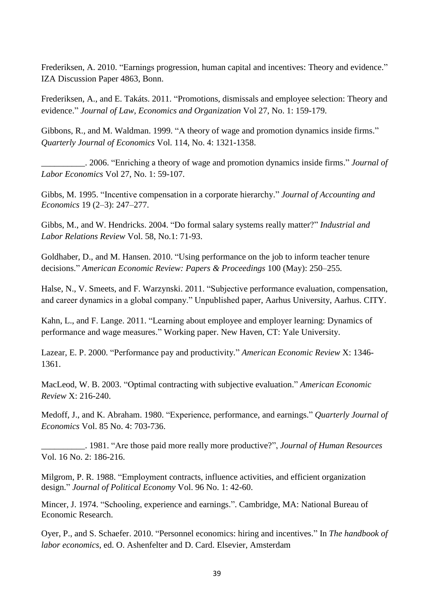Frederiksen, A. 2010. "Earnings progression, human capital and incentives: Theory and evidence." IZA Discussion Paper 4863, Bonn.

Frederiksen, A., and E. Takáts. 2011. "Promotions, dismissals and employee selection: Theory and evidence.‖ *Journal of Law, Economics and Organization* Vol 27, No. 1: 159-179.

Gibbons, R., and M. Waldman. 1999. "A theory of wage and promotion dynamics inside firms." *Quarterly Journal of Economics* Vol. 114, No. 4: 1321-1358.

\_\_\_\_\_\_\_\_\_\_. 2006. ―Enriching a theory of wage and promotion dynamics inside firms.‖ *Journal of Labor Economics* Vol 27, No. 1: 59-107.

Gibbs, M. 1995. "Incentive compensation in a corporate hierarchy." *Journal of Accounting and Economics* 19 (2–3): 247–277.

Gibbs, M., and W. Hendricks. 2004. "Do formal salary systems really matter?" *Industrial and Labor Relations Review* Vol. 58, No.1: 71-93.

Goldhaber, D., and M. Hansen. 2010. "Using performance on the job to inform teacher tenure decisions.‖ *American Economic Review: Papers & Proceedings* 100 (May): 250–255*.*

Halse, N., V. Smeets, and F. Warzynski. 2011. "Subjective performance evaluation, compensation, and career dynamics in a global company." Unpublished paper, Aarhus University, Aarhus. CITY.

Kahn, L., and F. Lange. 2011. "Learning about employee and employer learning: Dynamics of performance and wage measures." Working paper. New Haven, CT: Yale University.

Lazear, E. P. 2000. "Performance pay and productivity." *American Economic Review X*: 1346-1361.

MacLeod, W. B. 2003. "Optimal contracting with subjective evaluation." *American Economic Review* X: 216-240.

Medoff, J., and K. Abraham. 1980. "Experience, performance, and earnings." *Quarterly Journal of Economics* Vol. 85 No. 4: 703-736.

\_\_\_\_\_\_\_\_\_\_. 1981. ―Are those paid more really more productive?‖, *Journal of Human Resources* Vol. 16 No. 2: 186-216.

Milgrom, P. R. 1988. "Employment contracts, influence activities, and efficient organization design." *Journal of Political Economy* Vol. 96 No. 1: 42-60.

Mincer, J. 1974. "Schooling, experience and earnings.". Cambridge, MA: National Bureau of Economic Research.

Oyer, P., and S. Schaefer. 2010. "Personnel economics: hiring and incentives." In *The handbook of labor economics*, ed. O. Ashenfelter and D. Card. Elsevier, Amsterdam